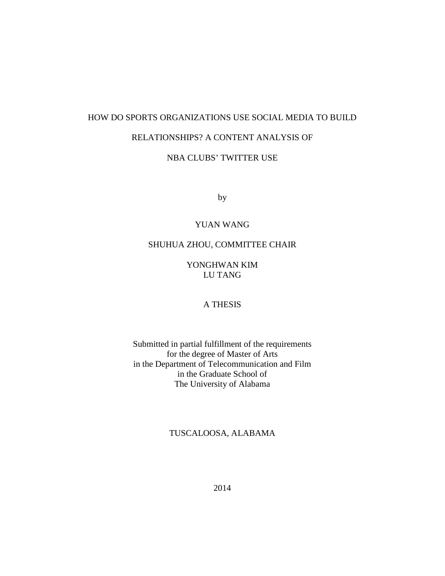### HOW DO SPORTS ORGANIZATIONS USE SOCIAL MEDIA TO BUILD

# RELATIONSHIPS? A CONTENT ANALYSIS OF

# NBA CLUBS' TWITTER USE

by

## YUAN WANG

### SHUHUA ZHOU, COMMITTEE CHAIR

## YONGHWAN KIM LU TANG

## A THESIS

Submitted in partial fulfillment of the requirements for the degree of Master of Arts in the Department of Telecommunication and Film in the Graduate School of The University of Alabama

# TUSCALOOSA, ALABAMA

2014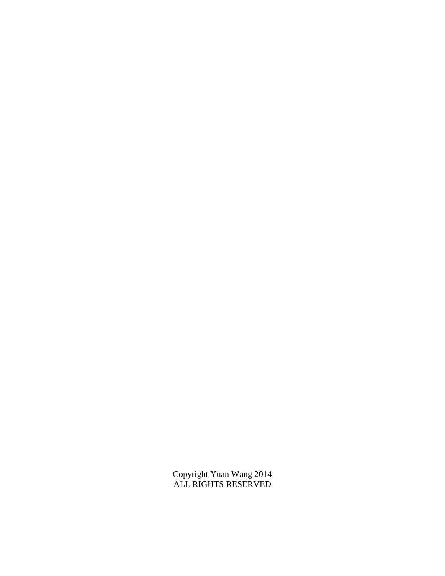Copyright Yuan Wang 2014 ALL RIGHTS RESERVED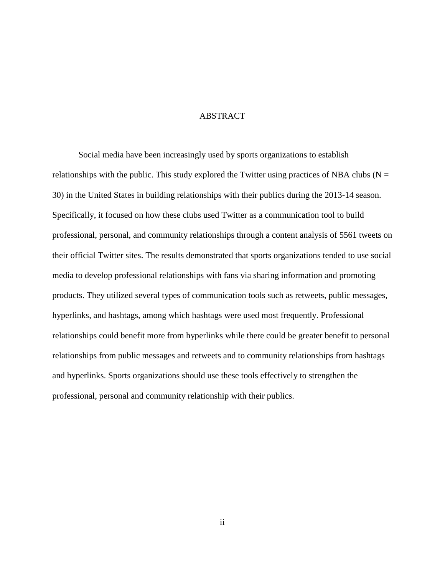### ABSTRACT

Social media have been increasingly used by sports organizations to establish relationships with the public. This study explored the Twitter using practices of NBA clubs ( $N =$ 30) in the United States in building relationships with their publics during the 2013-14 season. Specifically, it focused on how these clubs used Twitter as a communication tool to build professional, personal, and community relationships through a content analysis of 5561 tweets on their official Twitter sites. The results demonstrated that sports organizations tended to use social media to develop professional relationships with fans via sharing information and promoting products. They utilized several types of communication tools such as retweets, public messages, hyperlinks, and hashtags, among which hashtags were used most frequently. Professional relationships could benefit more from hyperlinks while there could be greater benefit to personal relationships from public messages and retweets and to community relationships from hashtags and hyperlinks. Sports organizations should use these tools effectively to strengthen the professional, personal and community relationship with their publics.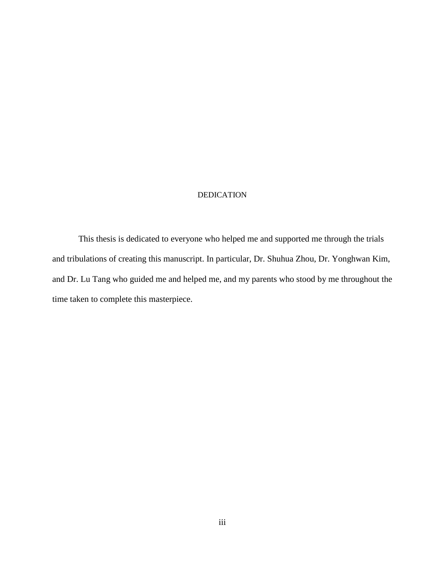#### DEDICATION

This thesis is dedicated to everyone who helped me and supported me through the trials and tribulations of creating this manuscript. In particular, Dr. Shuhua Zhou, Dr. Yonghwan Kim, and Dr. Lu Tang who guided me and helped me, and my parents who stood by me throughout the time taken to complete this masterpiece.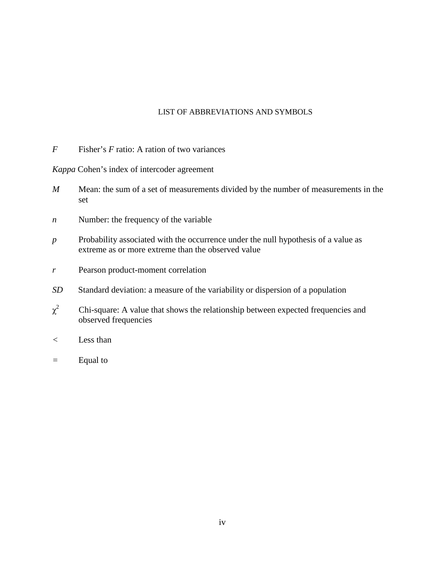### LIST OF ABBREVIATIONS AND SYMBOLS

*F* Fisher's *F* ratio: A ration of two variances

*Kappa* Cohen's index of intercoder agreement

- *M* Mean: the sum of a set of measurements divided by the number of measurements in the set
- *n* **Number:** the frequency of the variable
- *p* Probability associated with the occurrence under the null hypothesis of a value as extreme as or more extreme than the observed value
- *r* Pearson product-moment correlation
- *SD* Standard deviation: a measure of the variability or dispersion of a population
- $\chi^2$ 2 Chi-square: A value that shows the relationship between expected frequencies and observed frequencies
- *<* Less than
- *=* Equal to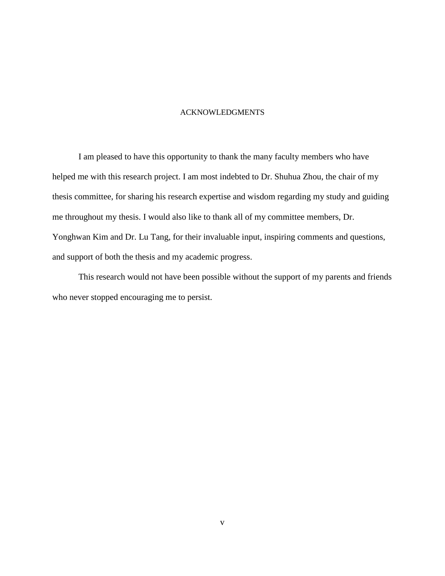### ACKNOWLEDGMENTS

I am pleased to have this opportunity to thank the many faculty members who have helped me with this research project. I am most indebted to Dr. Shuhua Zhou, the chair of my thesis committee, for sharing his research expertise and wisdom regarding my study and guiding me throughout my thesis. I would also like to thank all of my committee members, Dr. Yonghwan Kim and Dr. Lu Tang, for their invaluable input, inspiring comments and questions, and support of both the thesis and my academic progress.

This research would not have been possible without the support of my parents and friends who never stopped encouraging me to persist.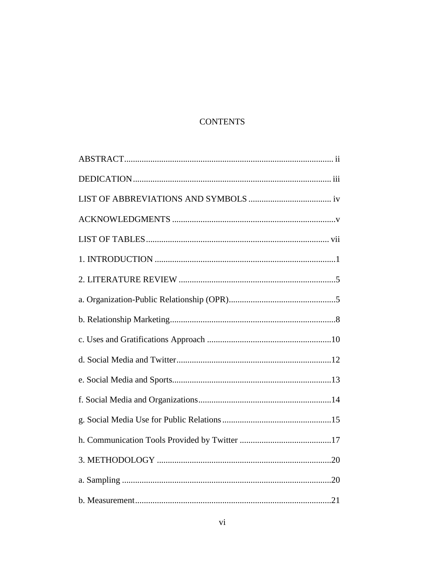# **CONTENTS**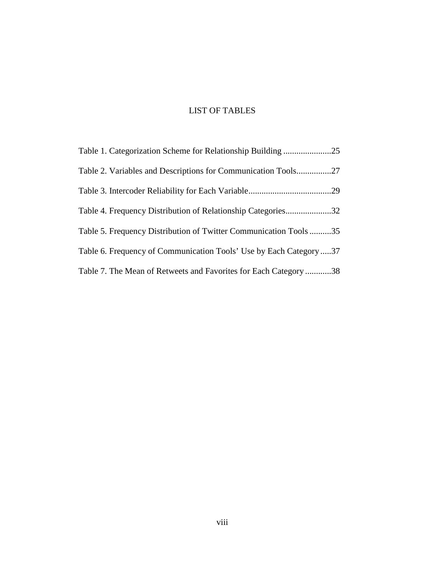# LIST OF TABLES

| Table 1. Categorization Scheme for Relationship Building 25       |  |
|-------------------------------------------------------------------|--|
|                                                                   |  |
|                                                                   |  |
| Table 4. Frequency Distribution of Relationship Categories32      |  |
| Table 5. Frequency Distribution of Twitter Communication Tools 35 |  |
| Table 6. Frequency of Communication Tools' Use by Each Category37 |  |
| Table 7. The Mean of Retweets and Favorites for Each Category38   |  |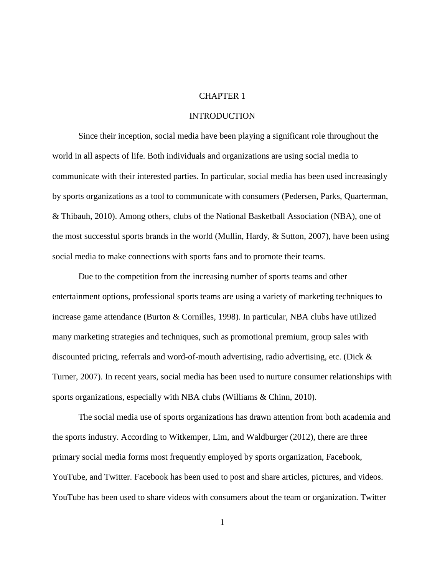### CHAPTER 1

### **INTRODUCTION**

Since their inception, social media have been playing a significant role throughout the world in all aspects of life. Both individuals and organizations are using social media to communicate with their interested parties. In particular, social media has been used increasingly by sports organizations as a tool to communicate with consumers (Pedersen, Parks, Quarterman, & Thibauh, 2010). Among others, clubs of the National Basketball Association (NBA), one of the most successful sports brands in the world (Mullin, Hardy, & Sutton, 2007), have been using social media to make connections with sports fans and to promote their teams.

Due to the competition from the increasing number of sports teams and other entertainment options, professional sports teams are using a variety of marketing techniques to increase game attendance (Burton & Cornilles, 1998). In particular, NBA clubs have utilized many marketing strategies and techniques, such as promotional premium, group sales with discounted pricing, referrals and word-of-mouth advertising, radio advertising, etc. (Dick & Turner, 2007). In recent years, social media has been used to nurture consumer relationships with sports organizations, especially with NBA clubs (Williams & Chinn, 2010).

The social media use of sports organizations has drawn attention from both academia and the sports industry. According to Witkemper, Lim, and Waldburger (2012), there are three primary social media forms most frequently employed by sports organization, Facebook, YouTube, and Twitter. Facebook has been used to post and share articles, pictures, and videos. YouTube has been used to share videos with consumers about the team or organization. Twitter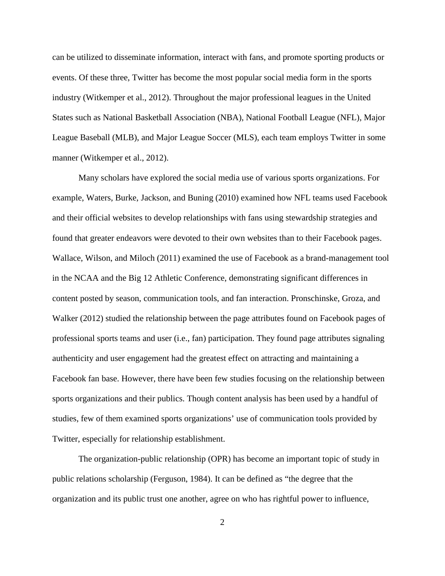can be utilized to disseminate information, interact with fans, and promote sporting products or events. Of these three, Twitter has become the most popular social media form in the sports industry (Witkemper et al., 2012). Throughout the major professional leagues in the United States such as National Basketball Association (NBA), National Football League (NFL), Major League Baseball (MLB), and Major League Soccer (MLS), each team employs Twitter in some manner (Witkemper et al., 2012).

Many scholars have explored the social media use of various sports organizations. For example, Waters, Burke, Jackson, and Buning (2010) examined how NFL teams used Facebook and their official websites to develop relationships with fans using stewardship strategies and found that greater endeavors were devoted to their own websites than to their Facebook pages. Wallace, Wilson, and Miloch (2011) examined the use of Facebook as a brand-management tool in the NCAA and the Big 12 Athletic Conference, demonstrating significant differences in content posted by season, communication tools, and fan interaction. Pronschinske, Groza, and Walker (2012) studied the relationship between the page attributes found on Facebook pages of professional sports teams and user (i.e., fan) participation. They found page attributes signaling authenticity and user engagement had the greatest effect on attracting and maintaining a Facebook fan base. However, there have been few studies focusing on the relationship between sports organizations and their publics. Though content analysis has been used by a handful of studies, few of them examined sports organizations' use of communication tools provided by Twitter, especially for relationship establishment.

The organization-public relationship (OPR) has become an important topic of study in public relations scholarship (Ferguson, 1984). It can be defined as "the degree that the organization and its public trust one another, agree on who has rightful power to influence,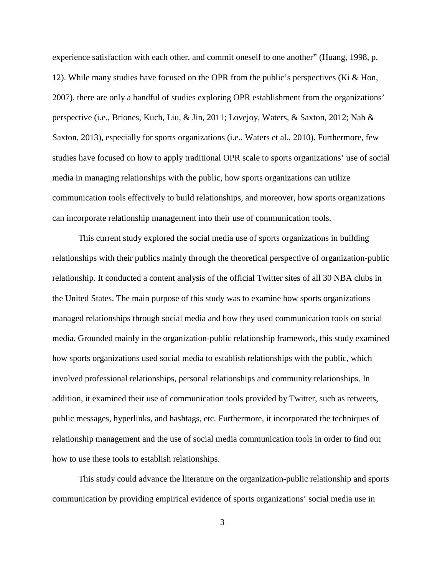experience satisfaction with each other, and commit oneself to one another" (Huang, 1998, p. 12). While many studies have focused on the OPR from the public's perspectives (Ki & Hon, 2007), there are only a handful of studies exploring OPR establishment from the organizations' perspective (i.e., Briones, Kuch, Liu, & Jin, 2011; Lovejoy, Waters, & Saxton, 2012; Nah & Saxton, 2013), especially for sports organizations (i.e., Waters et al., 2010). Furthermore, few studies have focused on how to apply traditional OPR scale to sports organizations' use of social media in managing relationships with the public, how sports organizations can utilize communication tools effectively to build relationships, and moreover, how sports organizations can incorporate relationship management into their use of communication tools.

This current study explored the social media use of sports organizations in building relationships with their publics mainly through the theoretical perspective of organization-public relationship. It conducted a content analysis of the official Twitter sites of all 30 NBA clubs in the United States. The main purpose of this study was to examine how sports organizations managed relationships through social media and how they used communication tools on social media. Grounded mainly in the organization-public relationship framework, this study examined how sports organizations used social media to establish relationships with the public, which involved professional relationships, personal relationships and community relationships. In addition, it examined their use of communication tools provided by Twitter, such as retweets, public messages, hyperlinks, and hashtags, etc. Furthermore, it incorporated the techniques of relationship management and the use of social media communication tools in order to find out how to use these tools to establish relationships.

This study could advance the literature on the organization-public relationship and sports communication by providing empirical evidence of sports organizations' social media use in

3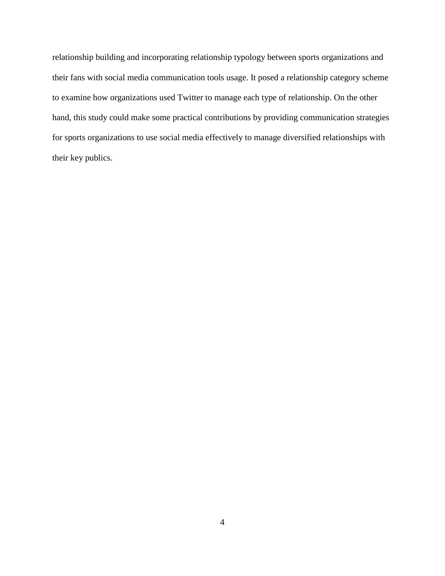relationship building and incorporating relationship typology between sports organizations and their fans with social media communication tools usage. It posed a relationship category scheme to examine how organizations used Twitter to manage each type of relationship. On the other hand, this study could make some practical contributions by providing communication strategies for sports organizations to use social media effectively to manage diversified relationships with their key publics.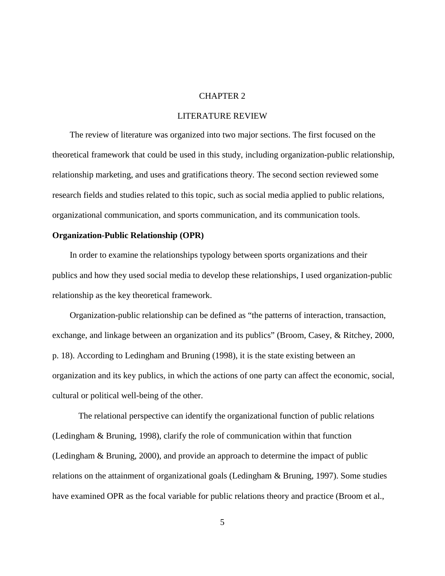### CHAPTER 2

### LITERATURE REVIEW

The review of literature was organized into two major sections. The first focused on the theoretical framework that could be used in this study, including organization-public relationship, relationship marketing, and uses and gratifications theory. The second section reviewed some research fields and studies related to this topic, such as social media applied to public relations, organizational communication, and sports communication, and its communication tools.

#### **Organization-Public Relationship (OPR)**

In order to examine the relationships typology between sports organizations and their publics and how they used social media to develop these relationships, I used organization-public relationship as the key theoretical framework.

Organization-public relationship can be defined as "the patterns of interaction, transaction, exchange, and linkage between an organization and its publics" (Broom, Casey, & Ritchey, 2000, p. 18). According to Ledingham and Bruning (1998), it is the state existing between an organization and its key publics, in which the actions of one party can affect the economic, social, cultural or political well-being of the other.

The relational perspective can identify the organizational function of public relations (Ledingham & Bruning, 1998), clarify the role of communication within that function (Ledingham & Bruning, 2000), and provide an approach to determine the impact of public relations on the attainment of organizational goals (Ledingham & Bruning, 1997). Some studies have examined OPR as the focal variable for public relations theory and practice (Broom et al.,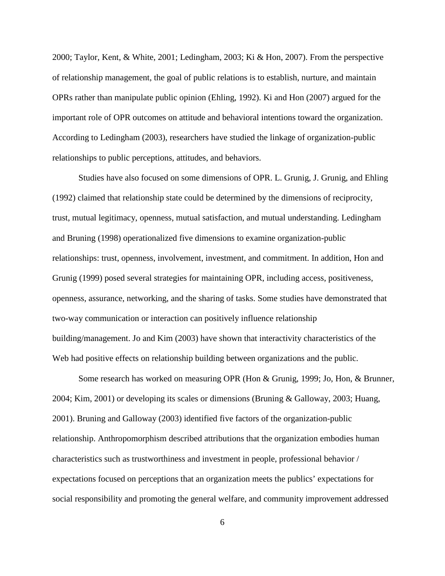2000; Taylor, Kent, & White, 2001; Ledingham, 2003; Ki & Hon, 2007). From the perspective of relationship management, the goal of public relations is to establish, nurture, and maintain OPRs rather than manipulate public opinion (Ehling, 1992). Ki and Hon (2007) argued for the important role of OPR outcomes on attitude and behavioral intentions toward the organization. According to Ledingham (2003), researchers have studied the linkage of organization-public relationships to public perceptions, attitudes, and behaviors.

Studies have also focused on some dimensions of OPR. L. Grunig, J. Grunig, and Ehling (1992) claimed that relationship state could be determined by the dimensions of reciprocity, trust, mutual legitimacy, openness, mutual satisfaction, and mutual understanding. Ledingham and Bruning (1998) operationalized five dimensions to examine organization-public relationships: trust, openness, involvement, investment, and commitment. In addition, Hon and Grunig (1999) posed several strategies for maintaining OPR, including access, positiveness, openness, assurance, networking, and the sharing of tasks. Some studies have demonstrated that two-way communication or interaction can positively influence relationship building/management. Jo and Kim (2003) have shown that interactivity characteristics of the Web had positive effects on relationship building between organizations and the public.

Some research has worked on measuring OPR (Hon & Grunig, 1999; Jo, Hon, & Brunner, 2004; Kim, 2001) or developing its scales or dimensions (Bruning & Galloway, 2003; Huang, 2001). Bruning and Galloway (2003) identified five factors of the organization-public relationship. Anthropomorphism described attributions that the organization embodies human characteristics such as trustworthiness and investment in people, professional behavior / expectations focused on perceptions that an organization meets the publics' expectations for social responsibility and promoting the general welfare, and community improvement addressed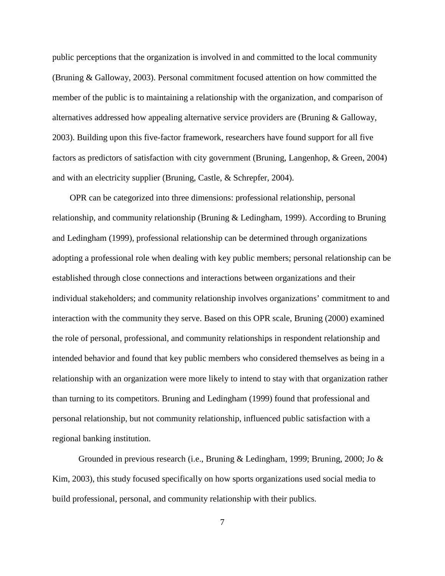public perceptions that the organization is involved in and committed to the local community (Bruning & Galloway, 2003). Personal commitment focused attention on how committed the member of the public is to maintaining a relationship with the organization, and comparison of alternatives addressed how appealing alternative service providers are (Bruning & Galloway, 2003). Building upon this five-factor framework, researchers have found support for all five factors as predictors of satisfaction with city government (Bruning, Langenhop, & Green, 2004) and with an electricity supplier (Bruning, Castle, & Schrepfer, 2004).

OPR can be categorized into three dimensions: professional relationship, personal relationship, and community relationship (Bruning & Ledingham, 1999). According to Bruning and Ledingham (1999), professional relationship can be determined through organizations adopting a professional role when dealing with key public members; personal relationship can be established through close connections and interactions between organizations and their individual stakeholders; and community relationship involves organizations' commitment to and interaction with the community they serve. Based on this OPR scale, Bruning (2000) examined the role of personal, professional, and community relationships in respondent relationship and intended behavior and found that key public members who considered themselves as being in a relationship with an organization were more likely to intend to stay with that organization rather than turning to its competitors. Bruning and Ledingham (1999) found that professional and personal relationship, but not community relationship, influenced public satisfaction with a regional banking institution.

Grounded in previous research (i.e., Bruning & Ledingham, 1999; Bruning, 2000; Jo  $\&$ Kim, 2003), this study focused specifically on how sports organizations used social media to build professional, personal, and community relationship with their publics.

7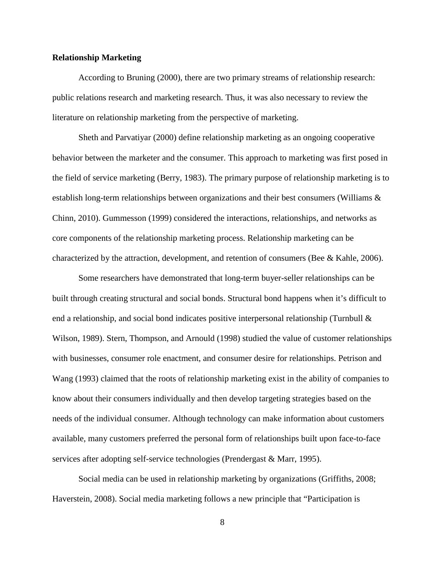#### **Relationship Marketing**

According to Bruning (2000), there are two primary streams of relationship research: public relations research and marketing research. Thus, it was also necessary to review the literature on relationship marketing from the perspective of marketing.

Sheth and Parvatiyar (2000) define relationship marketing as an ongoing cooperative behavior between the marketer and the consumer. This approach to marketing was first posed in the field of service marketing (Berry, 1983). The primary purpose of relationship marketing is to establish long-term relationships between organizations and their best consumers (Williams & Chinn, 2010). Gummesson (1999) considered the interactions, relationships, and networks as core components of the relationship marketing process. Relationship marketing can be characterized by the attraction, development, and retention of consumers (Bee & Kahle, 2006).

Some researchers have demonstrated that long-term buyer-seller relationships can be built through creating structural and social bonds. Structural bond happens when it's difficult to end a relationship, and social bond indicates positive interpersonal relationship (Turnbull  $\&$ Wilson, 1989). Stern, Thompson, and Arnould (1998) studied the value of customer relationships with businesses, consumer role enactment, and consumer desire for relationships. Petrison and Wang (1993) claimed that the roots of relationship marketing exist in the ability of companies to know about their consumers individually and then develop targeting strategies based on the needs of the individual consumer. Although technology can make information about customers available, many customers preferred the personal form of relationships built upon face-to-face services after adopting self-service technologies (Prendergast & Marr, 1995).

Social media can be used in relationship marketing by organizations (Griffiths, 2008; Haverstein, 2008). Social media marketing follows a new principle that "Participation is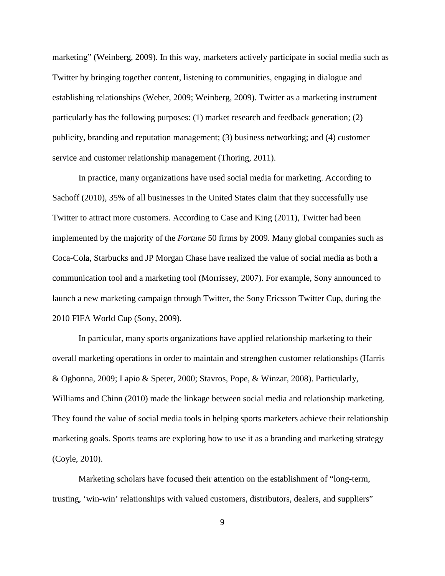marketing" (Weinberg, 2009). In this way, marketers actively participate in social media such as Twitter by bringing together content, listening to communities, engaging in dialogue and establishing relationships (Weber, 2009; Weinberg, 2009). Twitter as a marketing instrument particularly has the following purposes: (1) market research and feedback generation; (2) publicity, branding and reputation management; (3) business networking; and (4) customer service and customer relationship management (Thoring, 2011).

In practice, many organizations have used social media for marketing. According to Sachoff (2010), 35% of all businesses in the United States claim that they successfully use Twitter to attract more customers. According to Case and King (2011), Twitter had been implemented by the majority of the *Fortune* 50 firms by 2009. Many global companies such as Coca-Cola, Starbucks and JP Morgan Chase have realized the value of social media as both a communication tool and a marketing tool (Morrissey, 2007). For example, Sony announced to launch a new marketing campaign through Twitter, the Sony Ericsson Twitter Cup, during the 2010 FIFA World Cup (Sony, 2009).

In particular, many sports organizations have applied relationship marketing to their overall marketing operations in order to maintain and strengthen customer relationships (Harris & Ogbonna, 2009; Lapio & Speter, 2000; Stavros, Pope, & Winzar, 2008). Particularly, Williams and Chinn (2010) made the linkage between social media and relationship marketing. They found the value of social media tools in helping sports marketers achieve their relationship marketing goals. Sports teams are exploring how to use it as a branding and marketing strategy (Coyle, 2010).

Marketing scholars have focused their attention on the establishment of "long-term, trusting, 'win-win' relationships with valued customers, distributors, dealers, and suppliers"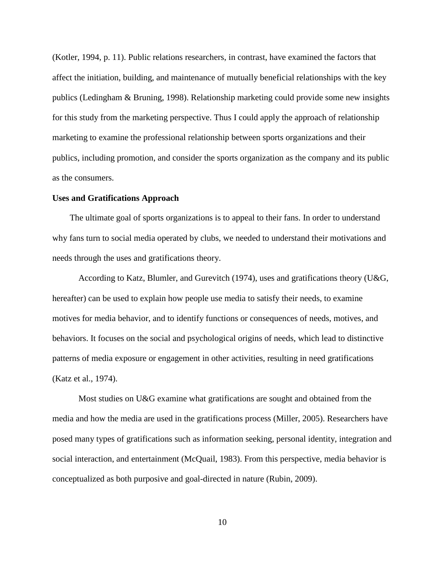(Kotler, 1994, p. 11). Public relations researchers, in contrast, have examined the factors that affect the initiation, building, and maintenance of mutually beneficial relationships with the key publics (Ledingham & Bruning, 1998). Relationship marketing could provide some new insights for this study from the marketing perspective. Thus I could apply the approach of relationship marketing to examine the professional relationship between sports organizations and their publics, including promotion, and consider the sports organization as the company and its public as the consumers.

#### **Uses and Gratifications Approach**

The ultimate goal of sports organizations is to appeal to their fans. In order to understand why fans turn to social media operated by clubs, we needed to understand their motivations and needs through the uses and gratifications theory.

According to Katz, Blumler, and Gurevitch (1974), uses and gratifications theory (U&G, hereafter) can be used to explain how people use media to satisfy their needs, to examine motives for media behavior, and to identify functions or consequences of needs, motives, and behaviors. It focuses on the social and psychological origins of needs, which lead to distinctive patterns of media exposure or engagement in other activities, resulting in need gratifications (Katz et al., 1974).

Most studies on U&G examine what gratifications are sought and obtained from the media and how the media are used in the gratifications process (Miller, 2005). Researchers have posed many types of gratifications such as information seeking, personal identity, integration and social interaction, and entertainment (McQuail, 1983). From this perspective, media behavior is conceptualized as both purposive and goal-directed in nature (Rubin, 2009).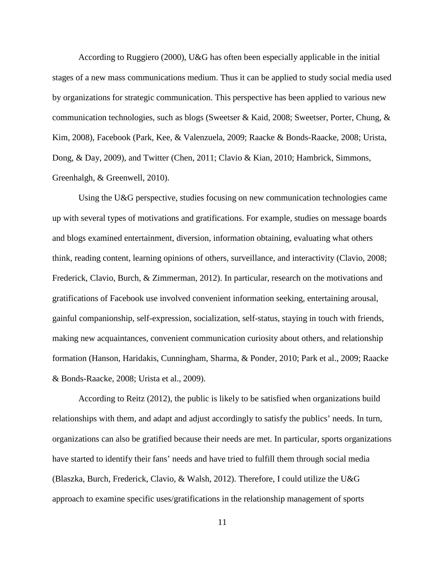According to Ruggiero (2000), U&G has often been especially applicable in the initial stages of a new mass communications medium. Thus it can be applied to study social media used by organizations for strategic communication. This perspective has been applied to various new communication technologies, such as blogs (Sweetser & Kaid, 2008; Sweetser, Porter, Chung,  $\&$ Kim, 2008), Facebook (Park, Kee, & Valenzuela, 2009; Raacke & Bonds-Raacke, 2008; Urista, Dong, & Day, 2009), and Twitter (Chen, 2011; Clavio & Kian, 2010; Hambrick, Simmons, Greenhalgh, & Greenwell, 2010).

Using the U&G perspective, studies focusing on new communication technologies came up with several types of motivations and gratifications. For example, studies on message boards and blogs examined entertainment, diversion, information obtaining, evaluating what others think, reading content, learning opinions of others, surveillance, and interactivity (Clavio, 2008; Frederick, Clavio, Burch, & Zimmerman, 2012). In particular, research on the motivations and gratifications of Facebook use involved convenient information seeking, entertaining arousal, gainful companionship, self-expression, socialization, self-status, staying in touch with friends, making new acquaintances, convenient communication curiosity about others, and relationship formation (Hanson, Haridakis, Cunningham, Sharma, & Ponder, 2010; Park et al., 2009; Raacke & Bonds-Raacke, 2008; Urista et al., 2009).

According to Reitz (2012), the public is likely to be satisfied when organizations build relationships with them, and adapt and adjust accordingly to satisfy the publics' needs. In turn, organizations can also be gratified because their needs are met. In particular, sports organizations have started to identify their fans' needs and have tried to fulfill them through social media (Blaszka, Burch, Frederick, Clavio, & Walsh, 2012). Therefore, I could utilize the U&G approach to examine specific uses/gratifications in the relationship management of sports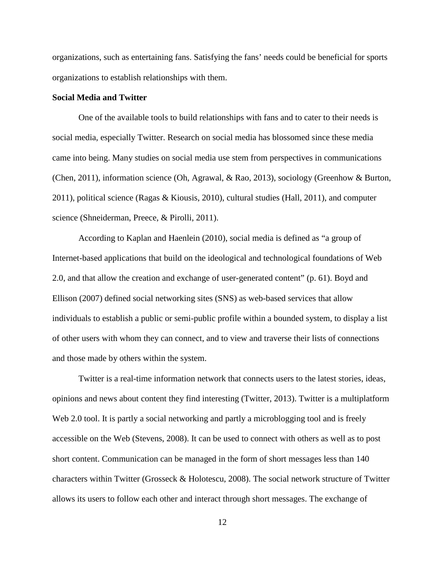organizations, such as entertaining fans. Satisfying the fans' needs could be beneficial for sports organizations to establish relationships with them.

### **Social Media and Twitter**

One of the available tools to build relationships with fans and to cater to their needs is social media, especially Twitter. Research on social media has blossomed since these media came into being. Many studies on social media use stem from perspectives in communications (Chen, 2011), information science (Oh, Agrawal, & Rao, 2013), sociology (Greenhow & Burton, 2011), political science (Ragas & Kiousis, 2010), cultural studies (Hall, 2011), and computer science (Shneiderman, Preece, & Pirolli, 2011).

According to Kaplan and Haenlein (2010), social media is defined as "a group of Internet-based applications that build on the ideological and technological foundations of Web 2.0, and that allow the creation and exchange of user-generated content" (p. 61). Boyd and Ellison (2007) defined social networking sites (SNS) as web-based services that allow individuals to establish a public or semi-public profile within a bounded system, to display a list of other users with whom they can connect, and to view and traverse their lists of connections and those made by others within the system.

Twitter is a real-time information network that connects users to the latest stories, ideas, opinions and news about content they find interesting (Twitter, 2013). Twitter is a multiplatform Web 2.0 tool. It is partly a social networking and partly a microblogging tool and is freely accessible on the Web (Stevens, 2008). It can be used to connect with others as well as to post short content. Communication can be managed in the form of short messages less than 140 characters within Twitter (Grosseck & Holotescu, 2008). The social network structure of Twitter allows its users to follow each other and interact through short messages. The exchange of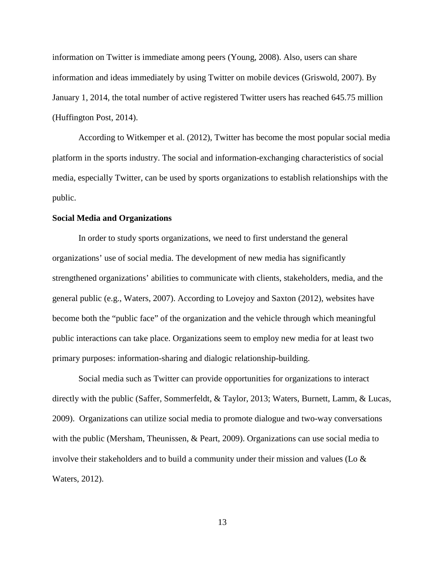information on Twitter is immediate among peers (Young, 2008). Also, users can share information and ideas immediately by using Twitter on mobile devices (Griswold, 2007). By January 1, 2014, the total number of active registered Twitter users has reached 645.75 million (Huffington Post, 2014).

According to Witkemper et al. (2012), Twitter has become the most popular social media platform in the sports industry. The social and information-exchanging characteristics of social media, especially Twitter, can be used by sports organizations to establish relationships with the public.

#### **Social Media and Organizations**

In order to study sports organizations, we need to first understand the general organizations' use of social media. The development of new media has significantly strengthened organizations' abilities to communicate with clients, stakeholders, media, and the general public (e.g., Waters, 2007). According to Lovejoy and Saxton (2012), websites have become both the "public face" of the organization and the vehicle through which meaningful public interactions can take place. Organizations seem to employ new media for at least two primary purposes: information-sharing and dialogic relationship-building.

Social media such as Twitter can provide opportunities for organizations to interact directly with the public (Saffer, Sommerfeldt, & Taylor, 2013; Waters, Burnett, Lamm, & Lucas, 2009). Organizations can utilize social media to promote dialogue and two-way conversations with the public (Mersham, Theunissen, & Peart, 2009). Organizations can use social media to involve their stakeholders and to build a community under their mission and values (Lo  $\&$ Waters, 2012).

13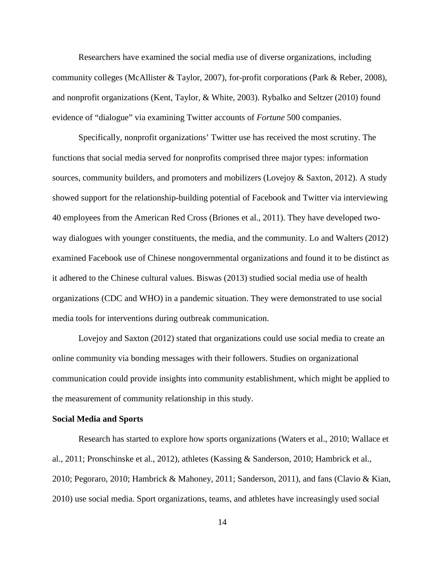Researchers have examined the social media use of diverse organizations, including community colleges (McAllister & Taylor, 2007), for-profit corporations (Park & Reber, 2008), and nonprofit organizations (Kent, Taylor, & White, 2003). Rybalko and Seltzer (2010) found evidence of "dialogue" via examining Twitter accounts of *Fortune* 500 companies.

Specifically, nonprofit organizations' Twitter use has received the most scrutiny. The functions that social media served for nonprofits comprised three major types: information sources, community builders, and promoters and mobilizers (Lovejoy & Saxton, 2012). A study showed support for the relationship-building potential of Facebook and Twitter via interviewing 40 employees from the American Red Cross (Briones et al., 2011). They have developed twoway dialogues with younger constituents, the media, and the community. Lo and Walters (2012) examined Facebook use of Chinese nongovernmental organizations and found it to be distinct as it adhered to the Chinese cultural values. Biswas (2013) studied social media use of health organizations (CDC and WHO) in a pandemic situation. They were demonstrated to use social media tools for interventions during outbreak communication.

Lovejoy and Saxton (2012) stated that organizations could use social media to create an online community via bonding messages with their followers. Studies on organizational communication could provide insights into community establishment, which might be applied to the measurement of community relationship in this study.

#### **Social Media and Sports**

Research has started to explore how sports organizations (Waters et al., 2010; Wallace et al., 2011; Pronschinske et al., 2012), athletes (Kassing & Sanderson, 2010; Hambrick et al., 2010; Pegoraro, 2010; Hambrick & Mahoney, 2011; Sanderson, 2011), and fans (Clavio & Kian, 2010) use social media. Sport organizations, teams, and athletes have increasingly used social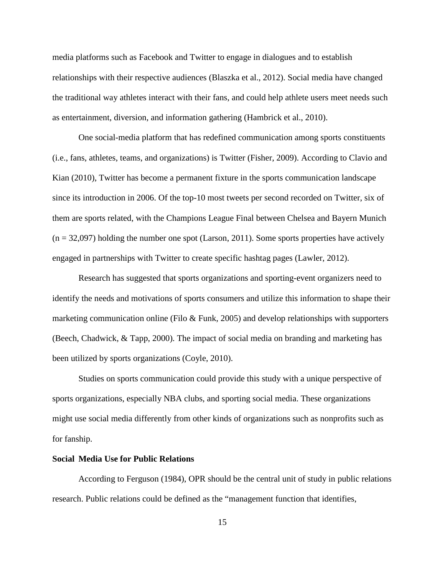media platforms such as Facebook and Twitter to engage in dialogues and to establish relationships with their respective audiences (Blaszka et al., 2012). Social media have changed the traditional way athletes interact with their fans, and could help athlete users meet needs such as entertainment, diversion, and information gathering (Hambrick et al., 2010).

One social-media platform that has redefined communication among sports constituents (i.e., fans, athletes, teams, and organizations) is Twitter (Fisher, 2009). According to Clavio and Kian (2010), Twitter has become a permanent fixture in the sports communication landscape since its introduction in 2006. Of the top-10 most tweets per second recorded on Twitter, six of them are sports related, with the Champions League Final between Chelsea and Bayern Munich  $(n = 32,097)$  holding the number one spot (Larson, 2011). Some sports properties have actively engaged in partnerships with Twitter to create specific hashtag pages (Lawler, 2012).

Research has suggested that sports organizations and sporting-event organizers need to identify the needs and motivations of sports consumers and utilize this information to shape their marketing communication online (Filo  $\&$  Funk, 2005) and develop relationships with supporters (Beech, Chadwick, & Tapp, 2000). The impact of social media on branding and marketing has been utilized by sports organizations (Coyle, 2010).

Studies on sports communication could provide this study with a unique perspective of sports organizations, especially NBA clubs, and sporting social media. These organizations might use social media differently from other kinds of organizations such as nonprofits such as for fanship.

### **Social Media Use for Public Relations**

According to Ferguson (1984), OPR should be the central unit of study in public relations research. Public relations could be defined as the "management function that identifies,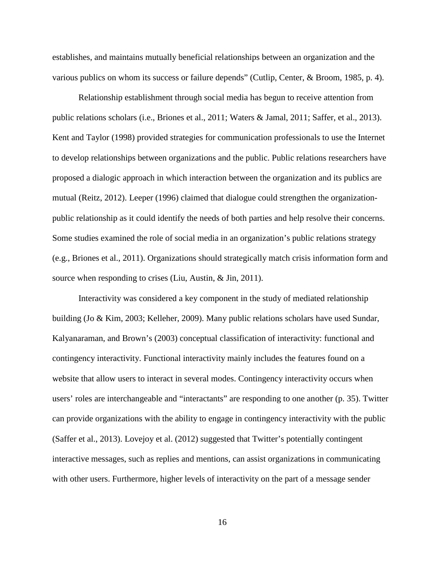establishes, and maintains mutually beneficial relationships between an organization and the various publics on whom its success or failure depends" (Cutlip, Center, & Broom, 1985, p. 4).

Relationship establishment through social media has begun to receive attention from public relations scholars (i.e., Briones et al., 2011; Waters & Jamal, 2011; Saffer, et al., 2013). Kent and Taylor (1998) provided strategies for communication professionals to use the Internet to develop relationships between organizations and the public. Public relations researchers have proposed a dialogic approach in which interaction between the organization and its publics are mutual (Reitz, 2012). Leeper (1996) claimed that dialogue could strengthen the organizationpublic relationship as it could identify the needs of both parties and help resolve their concerns. Some studies examined the role of social media in an organization's public relations strategy (e.g., Briones et al., 2011). Organizations should strategically match crisis information form and source when responding to crises (Liu, Austin, & Jin, 2011).

Interactivity was considered a key component in the study of mediated relationship building (Jo & Kim, 2003; Kelleher, 2009). Many public relations scholars have used Sundar, Kalyanaraman, and Brown's (2003) conceptual classification of interactivity: functional and contingency interactivity. Functional interactivity mainly includes the features found on a website that allow users to interact in several modes. Contingency interactivity occurs when users' roles are interchangeable and "interactants" are responding to one another (p. 35). Twitter can provide organizations with the ability to engage in contingency interactivity with the public (Saffer et al., 2013). Lovejoy et al. (2012) suggested that Twitter's potentially contingent interactive messages, such as replies and mentions, can assist organizations in communicating with other users. Furthermore, higher levels of interactivity on the part of a message sender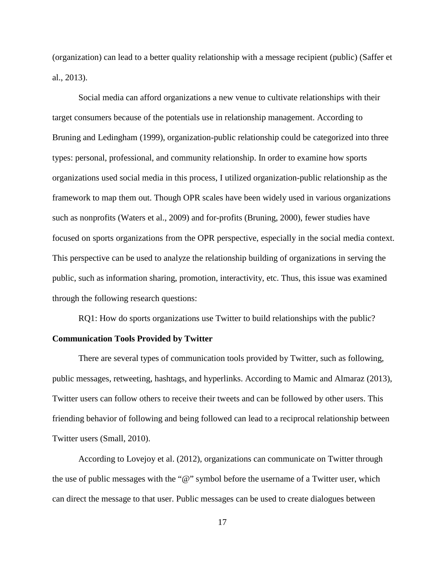(organization) can lead to a better quality relationship with a message recipient (public) (Saffer et al., 2013).

Social media can afford organizations a new venue to cultivate relationships with their target consumers because of the potentials use in relationship management. According to Bruning and Ledingham (1999), organization-public relationship could be categorized into three types: personal, professional, and community relationship. In order to examine how sports organizations used social media in this process, I utilized organization-public relationship as the framework to map them out. Though OPR scales have been widely used in various organizations such as nonprofits (Waters et al., 2009) and for-profits (Bruning, 2000), fewer studies have focused on sports organizations from the OPR perspective, especially in the social media context. This perspective can be used to analyze the relationship building of organizations in serving the public, such as information sharing, promotion, interactivity, etc. Thus, this issue was examined through the following research questions:

RQ1: How do sports organizations use Twitter to build relationships with the public?

#### **Communication Tools Provided by Twitter**

There are several types of communication tools provided by Twitter, such as following, public messages, retweeting, hashtags, and hyperlinks. According to Mamic and Almaraz (2013), Twitter users can follow others to receive their tweets and can be followed by other users. This friending behavior of following and being followed can lead to a reciprocal relationship between Twitter users (Small, 2010).

According to Lovejoy et al. (2012), organizations can communicate on Twitter through the use of public messages with the "@" symbol before the username of a Twitter user, which can direct the message to that user. Public messages can be used to create dialogues between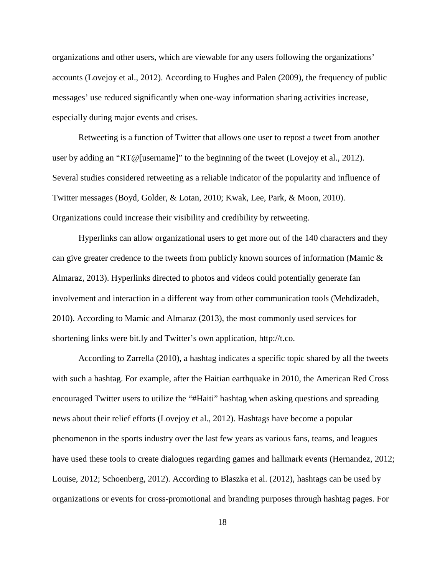organizations and other users, which are viewable for any users following the organizations' accounts (Lovejoy et al., 2012). According to Hughes and Palen (2009), the frequency of public messages' use reduced significantly when one-way information sharing activities increase, especially during major events and crises.

Retweeting is a function of Twitter that allows one user to repost a tweet from another user by adding an "RT@[username]" to the beginning of the tweet (Lovejoy et al., 2012). Several studies considered retweeting as a reliable indicator of the popularity and influence of Twitter messages (Boyd, Golder, & Lotan, 2010; Kwak, Lee, Park, & Moon, 2010). Organizations could increase their visibility and credibility by retweeting.

Hyperlinks can allow organizational users to get more out of the 140 characters and they can give greater credence to the tweets from publicly known sources of information (Mamic & Almaraz, 2013). Hyperlinks directed to photos and videos could potentially generate fan involvement and interaction in a different way from other communication tools (Mehdizadeh, 2010). According to Mamic and Almaraz (2013), the most commonly used services for shortening links were bit.ly and Twitter's own application, [http://t.co.](http://t.co/)

According to Zarrella (2010), a hashtag indicates a specific topic shared by all the tweets with such a hashtag. For example, after the Haitian earthquake in 2010, the American Red Cross encouraged Twitter users to utilize the "#Haiti" hashtag when asking questions and spreading news about their relief efforts (Lovejoy et al., 2012). Hashtags have become a popular phenomenon in the sports industry over the last few years as various fans, teams, and leagues have used these tools to create dialogues regarding games and hallmark events (Hernandez, 2012; Louise, 2012; Schoenberg, 2012). According to Blaszka et al. (2012), hashtags can be used by organizations or events for cross-promotional and branding purposes through hashtag pages. For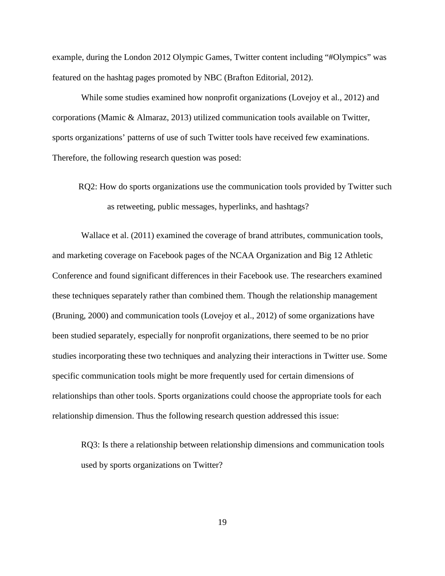example, during the London 2012 Olympic Games, Twitter content including "#Olympics" was featured on the hashtag pages promoted by NBC (Brafton Editorial, 2012).

While some studies examined how nonprofit organizations (Lovejoy et al., 2012) and corporations (Mamic & Almaraz, 2013) utilized communication tools available on Twitter, sports organizations' patterns of use of such Twitter tools have received few examinations. Therefore, the following research question was posed:

RQ2: How do sports organizations use the communication tools provided by Twitter such as retweeting, public messages, hyperlinks, and hashtags?

Wallace et al. (2011) examined the coverage of brand attributes, communication tools, and marketing coverage on Facebook pages of the NCAA Organization and Big 12 Athletic Conference and found significant differences in their Facebook use. The researchers examined these techniques separately rather than combined them. Though the relationship management (Bruning, 2000) and communication tools (Lovejoy et al., 2012) of some organizations have been studied separately, especially for nonprofit organizations, there seemed to be no prior studies incorporating these two techniques and analyzing their interactions in Twitter use. Some specific communication tools might be more frequently used for certain dimensions of relationships than other tools. Sports organizations could choose the appropriate tools for each relationship dimension. Thus the following research question addressed this issue:

RQ3: Is there a relationship between relationship dimensions and communication tools used by sports organizations on Twitter?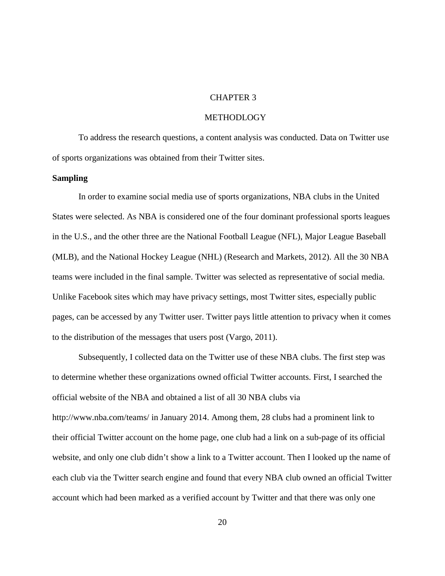### CHAPTER 3

#### METHODLOGY

To address the research questions, a content analysis was conducted. Data on Twitter use of sports organizations was obtained from their Twitter sites.

#### **Sampling**

In order to examine social media use of sports organizations, NBA clubs in the United States were selected. As NBA is considered one of the four dominant professional sports leagues in the U.S., and the other three are the National Football League (NFL), Major League Baseball (MLB), and the National Hockey League (NHL) (Research and Markets, 2012). All the 30 NBA teams were included in the final sample. Twitter was selected as representative of social media. Unlike Facebook sites which may have privacy settings, most Twitter sites, especially public pages, can be accessed by any Twitter user. Twitter pays little attention to privacy when it comes to the distribution of the messages that users post (Vargo, 2011).

Subsequently, I collected data on the Twitter use of these NBA clubs. The first step was to determine whether these organizations owned official Twitter accounts. First, I searched the official website of the NBA and obtained a list of all 30 NBA clubs via http://www.nba.com/teams/ in January 2014. Among them, 28 clubs had a prominent link to their official Twitter account on the home page, one club had a link on a sub-page of its official website, and only one club didn't show a link to a Twitter account. Then I looked up the name of each club via the Twitter search engine and found that every NBA club owned an official Twitter account which had been marked as a verified account by Twitter and that there was only one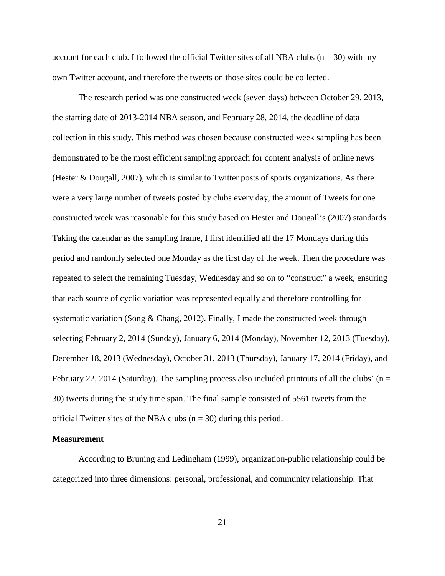account for each club. I followed the official Twitter sites of all NBA clubs ( $n = 30$ ) with my own Twitter account, and therefore the tweets on those sites could be collected.

The research period was one constructed week (seven days) between October 29, 2013, the starting date of 2013-2014 NBA season, and February 28, 2014, the deadline of data collection in this study. This method was chosen because constructed week sampling has been demonstrated to be the most efficient sampling approach for content analysis of online news (Hester & Dougall, 2007), which is similar to Twitter posts of sports organizations. As there were a very large number of tweets posted by clubs every day, the amount of Tweets for one constructed week was reasonable for this study based on Hester and Dougall's (2007) standards. Taking the calendar as the sampling frame, I first identified all the 17 Mondays during this period and randomly selected one Monday as the first day of the week. Then the procedure was repeated to select the remaining Tuesday, Wednesday and so on to "construct" a week, ensuring that each source of cyclic variation was represented equally and therefore controlling for systematic variation (Song & Chang, 2012). Finally, I made the constructed week through selecting February 2, 2014 (Sunday), January 6, 2014 (Monday), November 12, 2013 (Tuesday), December 18, 2013 (Wednesday), October 31, 2013 (Thursday), January 17, 2014 (Friday), and February 22, 2014 (Saturday). The sampling process also included printouts of all the clubs' ( $n =$ 30) tweets during the study time span. The final sample consisted of 5561 tweets from the official Twitter sites of the NBA clubs ( $n = 30$ ) during this period.

#### **Measurement**

According to Bruning and Ledingham (1999), organization-public relationship could be categorized into three dimensions: personal, professional, and community relationship. That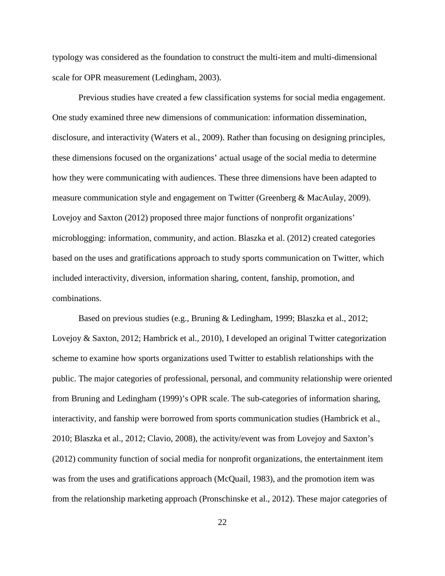typology was considered as the foundation to construct the multi-item and multi-dimensional scale for OPR measurement (Ledingham, 2003).

Previous studies have created a few classification systems for social media engagement. One study examined three new dimensions of communication: information dissemination, disclosure, and interactivity (Waters et al., 2009). Rather than focusing on designing principles, these dimensions focused on the organizations' actual usage of the social media to determine how they were communicating with audiences. These three dimensions have been adapted to measure communication style and engagement on Twitter (Greenberg & MacAulay, 2009). Lovejoy and Saxton (2012) proposed three major functions of nonprofit organizations' microblogging: information, community, and action. Blaszka et al. (2012) created categories based on the uses and gratifications approach to study sports communication on Twitter, which included interactivity, diversion, information sharing, content, fanship, promotion, and combinations.

Based on previous studies (e.g., Bruning & Ledingham, 1999; Blaszka et al., 2012; Lovejoy & Saxton, 2012; Hambrick et al., 2010), I developed an original Twitter categorization scheme to examine how sports organizations used Twitter to establish relationships with the public. The major categories of professional, personal, and community relationship were oriented from Bruning and Ledingham (1999)'s OPR scale. The sub-categories of information sharing, interactivity, and fanship were borrowed from sports communication studies (Hambrick et al., 2010; Blaszka et al., 2012; Clavio, 2008), the activity/event was from Lovejoy and Saxton's (2012) community function of social media for nonprofit organizations, the entertainment item was from the uses and gratifications approach (McQuail, 1983), and the promotion item was from the relationship marketing approach (Pronschinske et al., 2012). These major categories of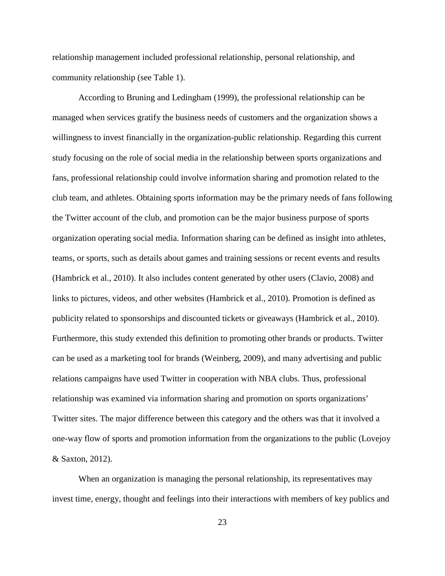relationship management included professional relationship, personal relationship, and community relationship (see Table 1).

According to Bruning and Ledingham (1999), the professional relationship can be managed when services gratify the business needs of customers and the organization shows a willingness to invest financially in the organization-public relationship. Regarding this current study focusing on the role of social media in the relationship between sports organizations and fans, professional relationship could involve information sharing and promotion related to the club team, and athletes. Obtaining sports information may be the primary needs of fans following the Twitter account of the club, and promotion can be the major business purpose of sports organization operating social media. Information sharing can be defined as insight into athletes, teams, or sports, such as details about games and training sessions or recent events and results (Hambrick et al., 2010). It also includes content generated by other users (Clavio, 2008) and links to pictures, videos, and other websites (Hambrick et al., 2010). Promotion is defined as publicity related to sponsorships and discounted tickets or giveaways (Hambrick et al., 2010). Furthermore, this study extended this definition to promoting other brands or products. Twitter can be used as a marketing tool for brands (Weinberg, 2009), and many advertising and public relations campaigns have used Twitter in cooperation with NBA clubs. Thus, professional relationship was examined via information sharing and promotion on sports organizations' Twitter sites. The major difference between this category and the others was that it involved a one-way flow of sports and promotion information from the organizations to the public (Lovejoy & Saxton, 2012).

When an organization is managing the personal relationship, its representatives may invest time, energy, thought and feelings into their interactions with members of key publics and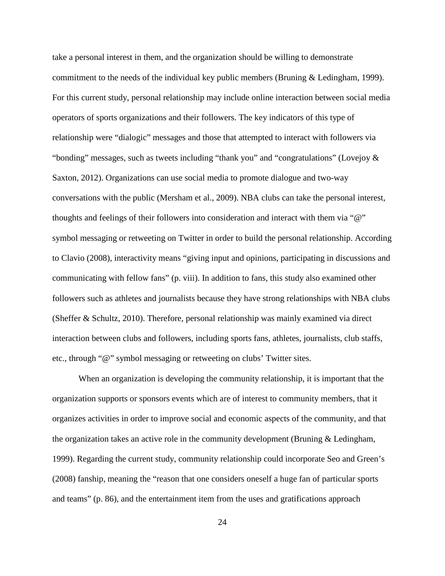take a personal interest in them, and the organization should be willing to demonstrate commitment to the needs of the individual key public members (Bruning & Ledingham, 1999). For this current study, personal relationship may include online interaction between social media operators of sports organizations and their followers. The key indicators of this type of relationship were "dialogic" messages and those that attempted to interact with followers via "bonding" messages, such as tweets including "thank you" and "congratulations" (Lovejoy & Saxton, 2012). Organizations can use social media to promote dialogue and two-way conversations with the public (Mersham et al., 2009). NBA clubs can take the personal interest, thoughts and feelings of their followers into consideration and interact with them via "@" symbol messaging or retweeting on Twitter in order to build the personal relationship. According to Clavio (2008), interactivity means "giving input and opinions, participating in discussions and communicating with fellow fans" (p. viii). In addition to fans, this study also examined other followers such as athletes and journalists because they have strong relationships with NBA clubs (Sheffer & Schultz, 2010). Therefore, personal relationship was mainly examined via direct interaction between clubs and followers, including sports fans, athletes, journalists, club staffs, etc., through "@" symbol messaging or retweeting on clubs' Twitter sites.

When an organization is developing the community relationship, it is important that the organization supports or sponsors events which are of interest to community members, that it organizes activities in order to improve social and economic aspects of the community, and that the organization takes an active role in the community development (Bruning  $\&$  Ledingham, 1999). Regarding the current study, community relationship could incorporate Seo and Green's (2008) fanship, meaning the "reason that one considers oneself a huge fan of particular sports and teams" (p. 86), and the entertainment item from the uses and gratifications approach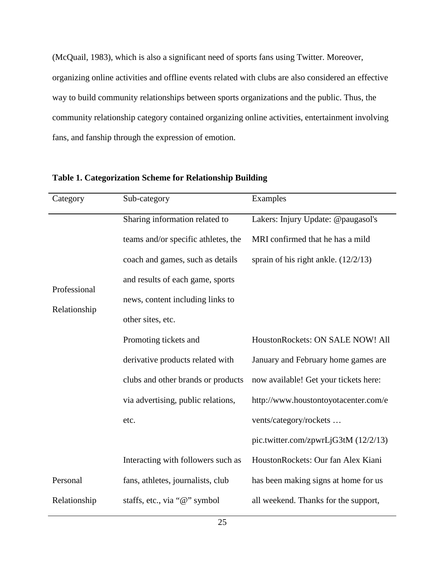(McQuail, 1983), which is also a significant need of sports fans using Twitter. Moreover, organizing online activities and offline events related with clubs are also considered an effective way to build community relationships between sports organizations and the public. Thus, the community relationship category contained organizing online activities, entertainment involving fans, and fanship through the expression of emotion.

| Category     | Sub-category                        | Examples                               |
|--------------|-------------------------------------|----------------------------------------|
|              | Sharing information related to      | Lakers: Injury Update: @paugasol's     |
|              | teams and/or specific athletes, the | MRI confirmed that he has a mild       |
|              | coach and games, such as details    | sprain of his right ankle. $(12/2/13)$ |
| Professional | and results of each game, sports    |                                        |
| Relationship | news, content including links to    |                                        |
|              | other sites, etc.                   |                                        |
|              | Promoting tickets and               | HoustonRockets: ON SALE NOW! All       |
|              | derivative products related with    | January and February home games are    |
|              | clubs and other brands or products  | now available! Get your tickets here:  |
|              | via advertising, public relations,  | http://www.houstontoyotacenter.com/e   |
|              | etc.                                | vents/category/rockets                 |
|              |                                     | pic.twitter.com/zpwrLjG3tM (12/2/13)   |
|              | Interacting with followers such as  | HoustonRockets: Our fan Alex Kiani     |
| Personal     | fans, athletes, journalists, club   | has been making signs at home for us   |
| Relationship | staffs, etc., via "@" symbol        | all weekend. Thanks for the support,   |

| Table 1. Categorization Scheme for Relationship Building |  |
|----------------------------------------------------------|--|
|----------------------------------------------------------|--|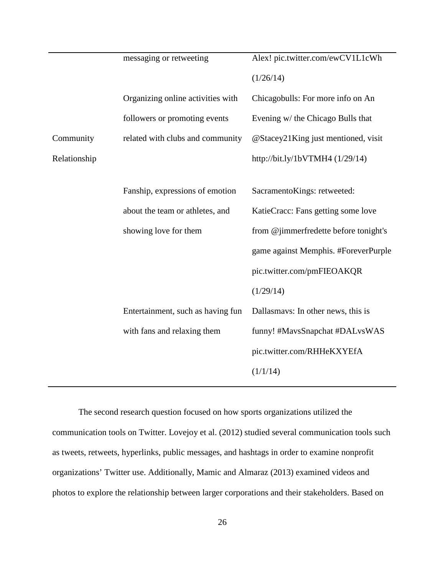|              | messaging or retweeting           | Alex! pic.twitter.com/ewCV1L1cWh      |
|--------------|-----------------------------------|---------------------------------------|
|              |                                   | (1/26/14)                             |
|              | Organizing online activities with | Chicagobulls: For more info on An     |
|              | followers or promoting events     | Evening w/ the Chicago Bulls that     |
| Community    | related with clubs and community  | @Stacey21King just mentioned, visit   |
| Relationship |                                   | http://bit.ly/1bVTMH4 (1/29/14)       |
|              |                                   |                                       |
|              | Fanship, expressions of emotion   | SacramentoKings: retweeted:           |
|              | about the team or athletes, and   | KatieCracc: Fans getting some love    |
|              | showing love for them             | from @jimmerfredette before tonight's |
|              |                                   | game against Memphis. #ForeverPurple  |
|              |                                   | pic.twitter.com/pmFIEOAKQR            |
|              |                                   | (1/29/14)                             |
|              | Entertainment, such as having fun | Dallasmays: In other news, this is    |
|              | with fans and relaxing them       | funny! #MavsSnapchat #DALvsWAS        |
|              |                                   | pic.twitter.com/RHHeKXYEfA            |
|              |                                   | (1/1/14)                              |
|              |                                   |                                       |

The second research question focused on how sports organizations utilized the communication tools on Twitter. Lovejoy et al. (2012) studied several communication tools such as tweets, retweets, hyperlinks, public messages, and hashtags in order to examine nonprofit organizations' Twitter use. Additionally, Mamic and Almaraz (2013) examined videos and photos to explore the relationship between larger corporations and their stakeholders. Based on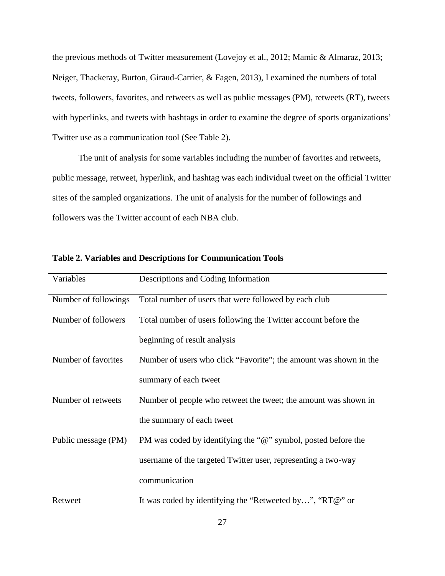the previous methods of Twitter measurement (Lovejoy et al., 2012; Mamic & Almaraz, 2013; Neiger, Thackeray, Burton, Giraud-Carrier, & Fagen, 2013), I examined the numbers of total tweets, followers, favorites, and retweets as well as public messages (PM), retweets (RT), tweets with hyperlinks, and tweets with hashtags in order to examine the degree of sports organizations' Twitter use as a communication tool (See Table 2).

The unit of analysis for some variables including the number of favorites and retweets, public message, retweet, hyperlink, and hashtag was each individual tweet on the official Twitter sites of the sampled organizations. The unit of analysis for the number of followings and followers was the Twitter account of each NBA club.

| Variables            | Descriptions and Coding Information                               |
|----------------------|-------------------------------------------------------------------|
| Number of followings | Total number of users that were followed by each club             |
| Number of followers  | Total number of users following the Twitter account before the    |
|                      | beginning of result analysis                                      |
| Number of favorites  | Number of users who click "Favorite"; the amount was shown in the |
|                      | summary of each tweet                                             |
| Number of retweets   | Number of people who retweet the tweet; the amount was shown in   |
|                      | the summary of each tweet                                         |
| Public message (PM)  | PM was coded by identifying the "@" symbol, posted before the     |
|                      | username of the targeted Twitter user, representing a two-way     |
|                      | communication                                                     |
| Retweet              | It was coded by identifying the "Retweeted by", "RT@" or          |

**Table 2. Variables and Descriptions for Communication Tools**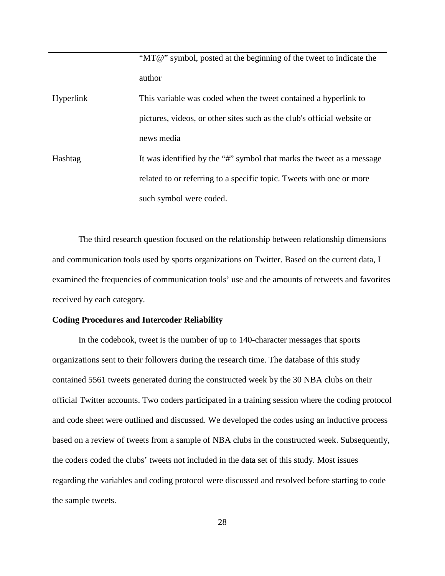|           | "MT@" symbol, posted at the beginning of the tweet to indicate the      |
|-----------|-------------------------------------------------------------------------|
|           | author                                                                  |
| Hyperlink | This variable was coded when the tweet contained a hyperlink to         |
|           | pictures, videos, or other sites such as the club's official website or |
|           | news media                                                              |
| Hashtag   | It was identified by the "#" symbol that marks the tweet as a message   |
|           | related to or referring to a specific topic. Tweets with one or more    |
|           | such symbol were coded.                                                 |
|           |                                                                         |

The third research question focused on the relationship between relationship dimensions and communication tools used by sports organizations on Twitter. Based on the current data, I examined the frequencies of communication tools' use and the amounts of retweets and favorites received by each category.

#### **Coding Procedures and Intercoder Reliability**

In the codebook, tweet is the number of up to 140-character messages that sports organizations sent to their followers during the research time. The database of this study contained 5561 tweets generated during the constructed week by the 30 NBA clubs on their official Twitter accounts. Two coders participated in a training session where the coding protocol and code sheet were outlined and discussed. We developed the codes using an inductive process based on a review of tweets from a sample of NBA clubs in the constructed week. Subsequently, the coders coded the clubs' tweets not included in the data set of this study. Most issues regarding the variables and coding protocol were discussed and resolved before starting to code the sample tweets.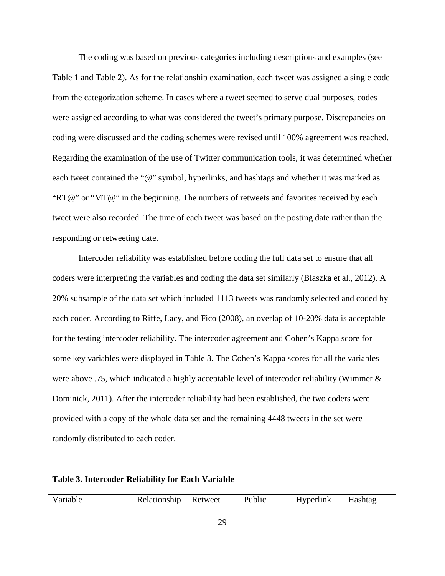The coding was based on previous categories including descriptions and examples (see Table 1 and Table 2). As for the relationship examination, each tweet was assigned a single code from the categorization scheme. In cases where a tweet seemed to serve dual purposes, codes were assigned according to what was considered the tweet's primary purpose. Discrepancies on coding were discussed and the coding schemes were revised until 100% agreement was reached. Regarding the examination of the use of Twitter communication tools, it was determined whether each tweet contained the "@" symbol, hyperlinks, and hashtags and whether it was marked as "RT@" or "MT@" in the beginning. The numbers of retweets and favorites received by each tweet were also recorded. The time of each tweet was based on the posting date rather than the responding or retweeting date.

Intercoder reliability was established before coding the full data set to ensure that all coders were interpreting the variables and coding the data set similarly (Blaszka et al., 2012). A 20% subsample of the data set which included 1113 tweets was randomly selected and coded by each coder. According to Riffe, Lacy, and Fico (2008), an overlap of 10-20% data is acceptable for the testing intercoder reliability. The intercoder agreement and Cohen's Kappa score for some key variables were displayed in Table 3. The Cohen's Kappa scores for all the variables were above .75, which indicated a highly acceptable level of intercoder reliability (Wimmer & Dominick, 2011). After the intercoder reliability had been established, the two coders were provided with a copy of the whole data set and the remaining 4448 tweets in the set were randomly distributed to each coder.

| <b>Table 3. Intercoder Reliability for Each Variable</b> |  |  |
|----------------------------------------------------------|--|--|
|----------------------------------------------------------|--|--|

| Variable | Relationship Retweet | Public | Hyperlink | Hashtag |  |
|----------|----------------------|--------|-----------|---------|--|
|          |                      |        |           |         |  |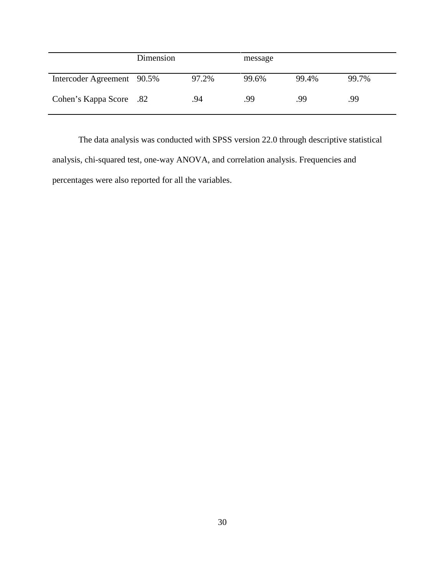|                            | Dimension |       | message |       |       |
|----------------------------|-----------|-------|---------|-------|-------|
| Intercoder Agreement 90.5% |           | 97.2% | 99.6%   | 99.4% | 99.7% |
| Cohen's Kappa Score .82    |           | .94   | .99     | .99   | .99   |

The data analysis was conducted with SPSS version 22.0 through descriptive statistical analysis, chi-squared test, one-way ANOVA, and correlation analysis. Frequencies and percentages were also reported for all the variables.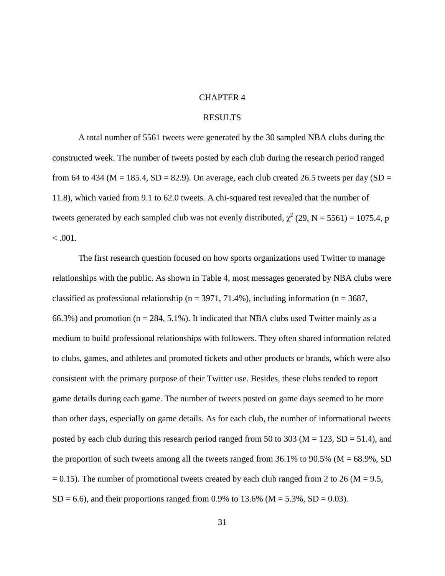#### CHAPTER 4

#### RESULTS

A total number of 5561 tweets were generated by the 30 sampled NBA clubs during the constructed week. The number of tweets posted by each club during the research period ranged from 64 to 434 ( $M = 185.4$ ,  $SD = 82.9$ ). On average, each club created 26.5 tweets per day ( $SD =$ 11.8), which varied from 9.1 to 62.0 tweets. A chi-squared test revealed that the number of tweets generated by each sampled club was not evenly distributed,  $\chi^2$  (29, N = 5561) = 1075.4, p  $< 0.001$ .

The first research question focused on how sports organizations used Twitter to manage relationships with the public. As shown in Table 4, most messages generated by NBA clubs were classified as professional relationship ( $n = 3971, 71.4\%$ ), including information ( $n = 3687$ , 66.3%) and promotion ( $n = 284, 5.1\%$ ). It indicated that NBA clubs used Twitter mainly as a medium to build professional relationships with followers. They often shared information related to clubs, games, and athletes and promoted tickets and other products or brands, which were also consistent with the primary purpose of their Twitter use. Besides, these clubs tended to report game details during each game. The number of tweets posted on game days seemed to be more than other days, especially on game details. As for each club, the number of informational tweets posted by each club during this research period ranged from 50 to 303 ( $M = 123$ ,  $SD = 51.4$ ), and the proportion of such tweets among all the tweets ranged from  $36.1\%$  to  $90.5\%$  (M = 68.9%, SD  $= 0.15$ ). The number of promotional tweets created by each club ranged from 2 to 26 (M = 9.5,  $SD = 6.6$ ), and their proportions ranged from 0.9% to 13.6% (M = 5.3%, SD = 0.03).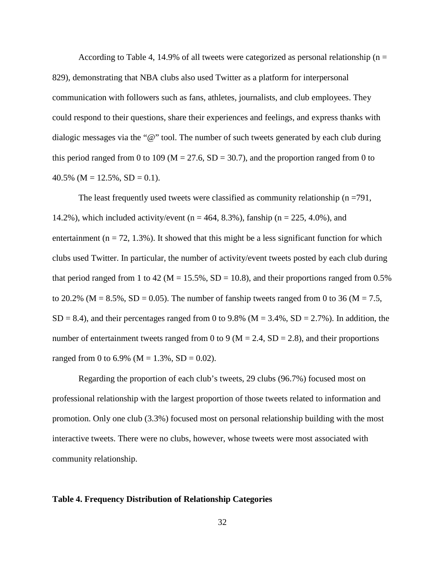According to Table 4, 14.9% of all tweets were categorized as personal relationship ( $n =$ 829), demonstrating that NBA clubs also used Twitter as a platform for interpersonal communication with followers such as fans, athletes, journalists, and club employees. They could respond to their questions, share their experiences and feelings, and express thanks with dialogic messages via the "@" tool. The number of such tweets generated by each club during this period ranged from 0 to 109 ( $M = 27.6$ , SD = 30.7), and the proportion ranged from 0 to 40.5% ( $M = 12.5\%$ ,  $SD = 0.1$ ).

The least frequently used tweets were classified as community relationship ( $n = 791$ , 14.2%), which included activity/event ( $n = 464, 8.3\%$ ), fanship ( $n = 225, 4.0\%$ ), and entertainment ( $n = 72, 1.3\%$ ). It showed that this might be a less significant function for which clubs used Twitter. In particular, the number of activity/event tweets posted by each club during that period ranged from 1 to 42 ( $M = 15.5\%$ , SD = 10.8), and their proportions ranged from 0.5% to 20.2% ( $M = 8.5\%$ , SD = 0.05). The number of fanship tweets ranged from 0 to 36 ( $M = 7.5$ ,  $SD = 8.4$ ), and their percentages ranged from 0 to 9.8% (M = 3.4%,  $SD = 2.7$ %). In addition, the number of entertainment tweets ranged from 0 to 9 ( $M = 2.4$ ,  $SD = 2.8$ ), and their proportions ranged from 0 to 6.9% ( $M = 1.3$ %,  $SD = 0.02$ ).

Regarding the proportion of each club's tweets, 29 clubs (96.7%) focused most on professional relationship with the largest proportion of those tweets related to information and promotion. Only one club (3.3%) focused most on personal relationship building with the most interactive tweets. There were no clubs, however, whose tweets were most associated with community relationship.

#### **Table 4. Frequency Distribution of Relationship Categories**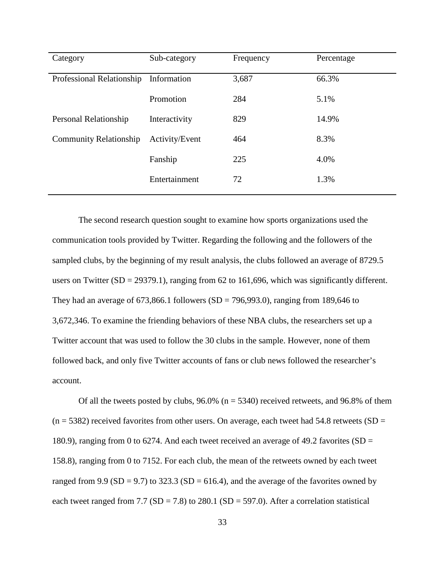| Category                      | Sub-category   | Frequency | Percentage |
|-------------------------------|----------------|-----------|------------|
| Professional Relationship     | Information    | 3,687     | 66.3%      |
|                               | Promotion      | 284       | 5.1%       |
| Personal Relationship         | Interactivity  | 829       | 14.9%      |
| <b>Community Relationship</b> | Activity/Event | 464       | 8.3%       |
|                               | Fanship        | 225       | 4.0%       |
|                               | Entertainment  | 72        | 1.3%       |

The second research question sought to examine how sports organizations used the communication tools provided by Twitter. Regarding the following and the followers of the sampled clubs, by the beginning of my result analysis, the clubs followed an average of 8729.5 users on Twitter  $(SD = 29379.1)$ , ranging from 62 to 161,696, which was significantly different. They had an average of  $673,866.1$  followers (SD = 796,993.0), ranging from 189,646 to 3,672,346. To examine the friending behaviors of these NBA clubs, the researchers set up a Twitter account that was used to follow the 30 clubs in the sample. However, none of them followed back, and only five Twitter accounts of fans or club news followed the researcher's account.

Of all the tweets posted by clubs,  $96.0\%$  (n = 5340) received retweets, and  $96.8\%$  of them  $(n = 5382)$  received favorites from other users. On average, each tweet had 54.8 retweets (SD = 180.9), ranging from 0 to 6274. And each tweet received an average of 49.2 favorites (SD = 158.8), ranging from 0 to 7152. For each club, the mean of the retweets owned by each tweet ranged from 9.9 (SD = 9.7) to 323.3 (SD = 616.4), and the average of the favorites owned by each tweet ranged from 7.7 ( $SD = 7.8$ ) to 280.1 ( $SD = 597.0$ ). After a correlation statistical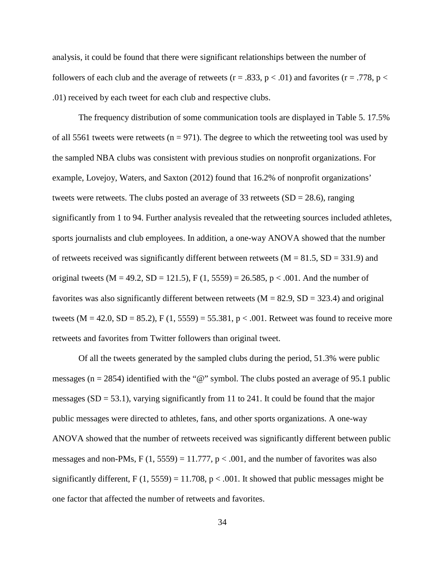analysis, it could be found that there were significant relationships between the number of followers of each club and the average of retweets ( $r = .833$ ,  $p < .01$ ) and favorites ( $r = .778$ ,  $p <$ .01) received by each tweet for each club and respective clubs.

The frequency distribution of some communication tools are displayed in Table 5. 17.5% of all 5561 tweets were retweets ( $n = 971$ ). The degree to which the retweeting tool was used by the sampled NBA clubs was consistent with previous studies on nonprofit organizations. For example, Lovejoy, Waters, and Saxton (2012) found that 16.2% of nonprofit organizations' tweets were retweets. The clubs posted an average of 33 retweets  $(SD = 28.6)$ , ranging significantly from 1 to 94. Further analysis revealed that the retweeting sources included athletes, sports journalists and club employees. In addition, a one-way ANOVA showed that the number of retweets received was significantly different between retweets ( $M = 81.5$ ,  $SD = 331.9$ ) and original tweets (M = 49.2, SD = 121.5), F (1, 5559) = 26.585, p < .001. And the number of favorites was also significantly different between retweets ( $M = 82.9$ ,  $SD = 323.4$ ) and original tweets ( $M = 42.0$ ,  $SD = 85.2$ ),  $F(1, 5559) = 55.381$ ,  $p < .001$ . Retweet was found to receive more retweets and favorites from Twitter followers than original tweet.

Of all the tweets generated by the sampled clubs during the period, 51.3% were public messages ( $n = 2854$ ) identified with the "@" symbol. The clubs posted an average of 95.1 public messages  $(SD = 53.1)$ , varying significantly from 11 to 241. It could be found that the major public messages were directed to athletes, fans, and other sports organizations. A one-way ANOVA showed that the number of retweets received was significantly different between public messages and non-PMs, F  $(1, 5559) = 11.777$ , p  $\lt$  .001, and the number of favorites was also significantly different,  $F(1, 5559) = 11.708$ ,  $p < .001$ . It showed that public messages might be one factor that affected the number of retweets and favorites.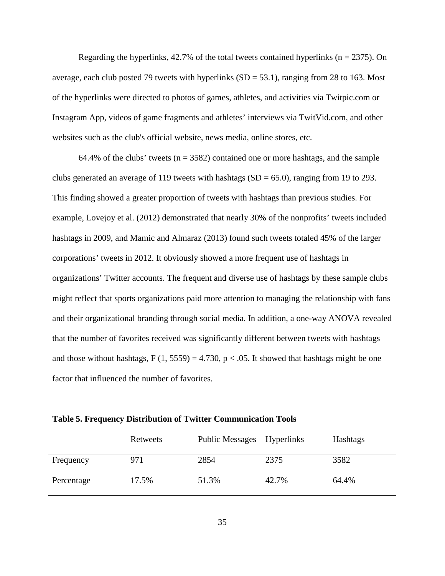Regarding the hyperlinks,  $42.7\%$  of the total tweets contained hyperlinks ( $n = 2375$ ). On average, each club posted 79 tweets with hyperlinks  $(SD = 53.1)$ , ranging from 28 to 163. Most of the hyperlinks were directed to photos of games, athletes, and activities via Twitpic.com or Instagram App, videos of game fragments and athletes' interviews via TwitVid.com, and other websites such as the club's official website, news media, online stores, etc.

64.4% of the clubs' tweets ( $n = 3582$ ) contained one or more hashtags, and the sample clubs generated an average of 119 tweets with hashtags  $(SD = 65.0)$ , ranging from 19 to 293. This finding showed a greater proportion of tweets with hashtags than previous studies. For example, Lovejoy et al. (2012) demonstrated that nearly 30% of the nonprofits' tweets included hashtags in 2009, and Mamic and Almaraz (2013) found such tweets totaled 45% of the larger corporations' tweets in 2012. It obviously showed a more frequent use of hashtags in organizations' Twitter accounts. The frequent and diverse use of hashtags by these sample clubs might reflect that sports organizations paid more attention to managing the relationship with fans and their organizational branding through social media. In addition, a one-way ANOVA revealed that the number of favorites received was significantly different between tweets with hashtags and those without hashtags,  $F(1, 5559) = 4.730$ ,  $p < .05$ . It showed that hashtags might be one factor that influenced the number of favorites.

**Table 5. Frequency Distribution of Twitter Communication Tools**

|            | Retweets | <b>Public Messages</b> | <b>Hyperlinks</b> | Hashtags |
|------------|----------|------------------------|-------------------|----------|
| Frequency  | 971      | 2854                   | 2375              | 3582     |
| Percentage | 17.5%    | 51.3%                  | 42.7%             | 64.4%    |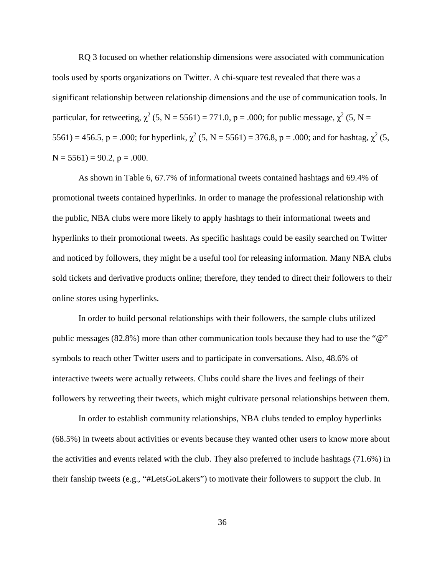RQ 3 focused on whether relationship dimensions were associated with communication tools used by sports organizations on Twitter. A chi-square test revealed that there was a significant relationship between relationship dimensions and the use of communication tools. In particular, for retweeting,  $\chi^2$  (5, N = 5561) = 771.0, p = .000; for public message,  $\chi^2$  (5, N = 5561) = 456.5, p = .000; for hyperlink,  $\chi^2$  (5, N = 5561) = 376.8, p = .000; and for hashtag,  $\chi^2$  (5,  $N = 5561$ ) = 90.2, p = .000.

As shown in Table 6, 67.7% of informational tweets contained hashtags and 69.4% of promotional tweets contained hyperlinks. In order to manage the professional relationship with the public, NBA clubs were more likely to apply hashtags to their informational tweets and hyperlinks to their promotional tweets. As specific hashtags could be easily searched on Twitter and noticed by followers, they might be a useful tool for releasing information. Many NBA clubs sold tickets and derivative products online; therefore, they tended to direct their followers to their online stores using hyperlinks.

In order to build personal relationships with their followers, the sample clubs utilized public messages (82.8%) more than other communication tools because they had to use the "@" symbols to reach other Twitter users and to participate in conversations. Also, 48.6% of interactive tweets were actually retweets. Clubs could share the lives and feelings of their followers by retweeting their tweets, which might cultivate personal relationships between them.

In order to establish community relationships, NBA clubs tended to employ hyperlinks (68.5%) in tweets about activities or events because they wanted other users to know more about the activities and events related with the club. They also preferred to include hashtags (71.6%) in their fanship tweets (e.g., "#LetsGoLakers") to motivate their followers to support the club. In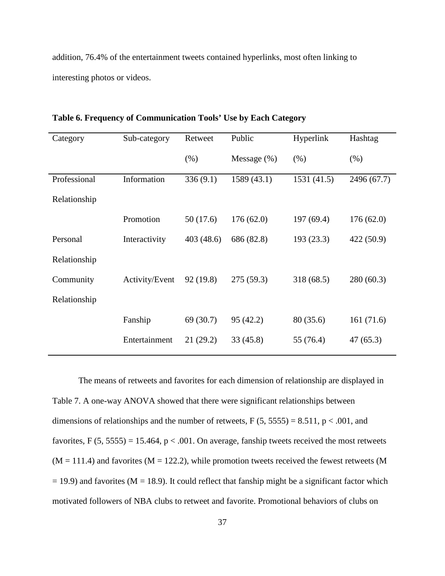addition, 76.4% of the entertainment tweets contained hyperlinks, most often linking to interesting photos or videos.

| Sub-category   | Retweet   | Public         | Hyperlink   | Hashtag     |
|----------------|-----------|----------------|-------------|-------------|
|                | (% )      | Message $(\%)$ | (% )        | (% )        |
| Information    | 336(9.1)  | 1589(43.1)     | 1531 (41.5) | 2496 (67.7) |
|                |           |                |             |             |
| Promotion      | 50(17.6)  | 176(62.0)      | 197 (69.4)  | 176(62.0)   |
| Interactivity  | 403(48.6) | 686 (82.8)     | 193 (23.3)  | 422 (50.9)  |
|                |           |                |             |             |
| Activity/Event | 92(19.8)  | 275(59.3)      | 318 (68.5)  | 280(60.3)   |
|                |           |                |             |             |
| Fanship        | 69 (30.7) | 95 (42.2)      | 80 (35.6)   | 161(71.6)   |
| Entertainment  | 21(29.2)  | 33(45.8)       | 55 (76.4)   | 47(65.3)    |
|                |           |                |             |             |

**Table 6. Frequency of Communication Tools' Use by Each Category** 

The means of retweets and favorites for each dimension of relationship are displayed in Table 7. A one-way ANOVA showed that there were significant relationships between dimensions of relationships and the number of retweets,  $F(5, 5555) = 8.511$ ,  $p < .001$ , and favorites, F  $(5, 5555) = 15.464$ , p < .001. On average, fanship tweets received the most retweets  $(M = 111.4)$  and favorites  $(M = 122.2)$ , while promotion tweets received the fewest retweets  $(M = 111.4)$  $=$  19.9) and favorites (M  $=$  18.9). It could reflect that fanship might be a significant factor which motivated followers of NBA clubs to retweet and favorite. Promotional behaviors of clubs on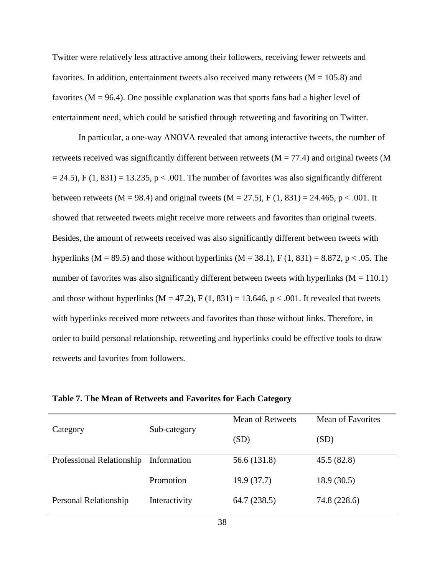Twitter were relatively less attractive among their followers, receiving fewer retweets and favorites. In addition, entertainment tweets also received many retweets  $(M = 105.8)$  and favorites ( $M = 96.4$ ). One possible explanation was that sports fans had a higher level of entertainment need, which could be satisfied through retweeting and favoriting on Twitter.

In particular, a one-way ANOVA revealed that among interactive tweets, the number of retweets received was significantly different between retweets ( $M = 77.4$ ) and original tweets (M  $= 24.5$ ), F (1, 831) = 13.235, p < .001. The number of favorites was also significantly different between retweets (M = 98.4) and original tweets (M = 27.5), F (1, 831) = 24.465, p < .001. It showed that retweeted tweets might receive more retweets and favorites than original tweets. Besides, the amount of retweets received was also significantly different between tweets with hyperlinks (M = 89.5) and those without hyperlinks (M = 38.1), F (1, 831) = 8.872, p < .05. The number of favorites was also significantly different between tweets with hyperlinks ( $M = 110.1$ ) and those without hyperlinks ( $M = 47.2$ ),  $F(1, 831) = 13.646$ ,  $p < .001$ . It revealed that tweets with hyperlinks received more retweets and favorites than those without links. Therefore, in order to build personal relationship, retweeting and hyperlinks could be effective tools to draw retweets and favorites from followers.

|                           |               | <b>Mean of Retweets</b> | <b>Mean of Favorites</b> |
|---------------------------|---------------|-------------------------|--------------------------|
| Category                  | Sub-category  | (SD)                    | (SD)                     |
| Professional Relationship | Information   | 56.6 (131.8)            | 45.5(82.8)               |
|                           | Promotion     | 19.9(37.7)              | 18.9(30.5)               |
| Personal Relationship     | Interactivity | 64.7(238.5)             | 74.8 (228.6)             |

**Table 7. The Mean of Retweets and Favorites for Each Category**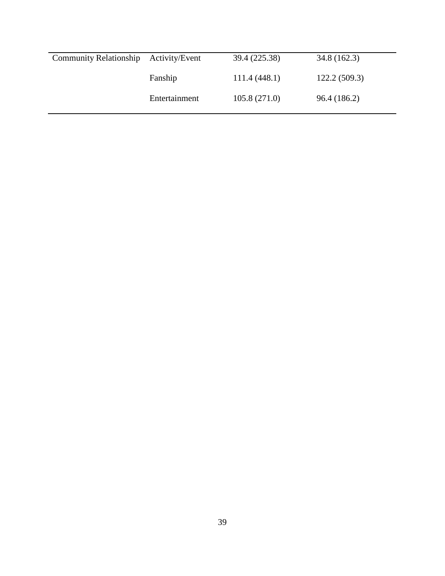| <b>Community Relationship</b> | Activity/Event | 39.4 (225.38) | 34.8(162.3)  |
|-------------------------------|----------------|---------------|--------------|
|                               | Fanship        | 111.4(448.1)  | 122.2(509.3) |
|                               | Entertainment  | 105.8(271.0)  | 96.4 (186.2) |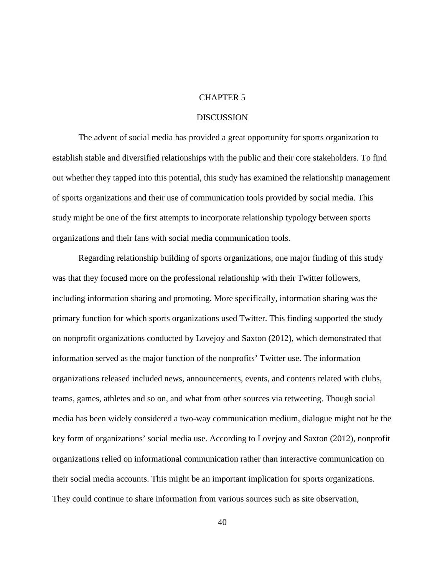### CHAPTER 5

#### **DISCUSSION**

The advent of social media has provided a great opportunity for sports organization to establish stable and diversified relationships with the public and their core stakeholders. To find out whether they tapped into this potential, this study has examined the relationship management of sports organizations and their use of communication tools provided by social media. This study might be one of the first attempts to incorporate relationship typology between sports organizations and their fans with social media communication tools.

Regarding relationship building of sports organizations, one major finding of this study was that they focused more on the professional relationship with their Twitter followers, including information sharing and promoting. More specifically, information sharing was the primary function for which sports organizations used Twitter. This finding supported the study on nonprofit organizations conducted by Lovejoy and Saxton (2012), which demonstrated that information served as the major function of the nonprofits' Twitter use. The information organizations released included news, announcements, events, and contents related with clubs, teams, games, athletes and so on, and what from other sources via retweeting. Though social media has been widely considered a two-way communication medium, dialogue might not be the key form of organizations' social media use. According to Lovejoy and Saxton (2012), nonprofit organizations relied on informational communication rather than interactive communication on their social media accounts. This might be an important implication for sports organizations. They could continue to share information from various sources such as site observation,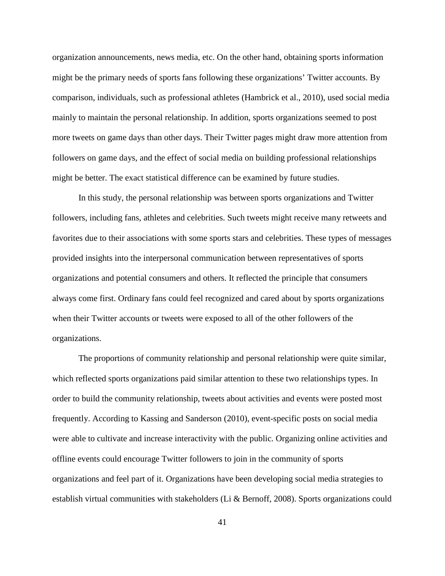organization announcements, news media, etc. On the other hand, obtaining sports information might be the primary needs of sports fans following these organizations' Twitter accounts. By comparison, individuals, such as professional athletes (Hambrick et al., 2010), used social media mainly to maintain the personal relationship. In addition, sports organizations seemed to post more tweets on game days than other days. Their Twitter pages might draw more attention from followers on game days, and the effect of social media on building professional relationships might be better. The exact statistical difference can be examined by future studies.

In this study, the personal relationship was between sports organizations and Twitter followers, including fans, athletes and celebrities. Such tweets might receive many retweets and favorites due to their associations with some sports stars and celebrities. These types of messages provided insights into the interpersonal communication between representatives of sports organizations and potential consumers and others. It reflected the principle that consumers always come first. Ordinary fans could feel recognized and cared about by sports organizations when their Twitter accounts or tweets were exposed to all of the other followers of the organizations.

The proportions of community relationship and personal relationship were quite similar, which reflected sports organizations paid similar attention to these two relationships types. In order to build the community relationship, tweets about activities and events were posted most frequently. According to Kassing and Sanderson (2010), event-specific posts on social media were able to cultivate and increase interactivity with the public. Organizing online activities and offline events could encourage Twitter followers to join in the community of sports organizations and feel part of it. Organizations have been developing social media strategies to establish virtual communities with stakeholders (Li & Bernoff, 2008). Sports organizations could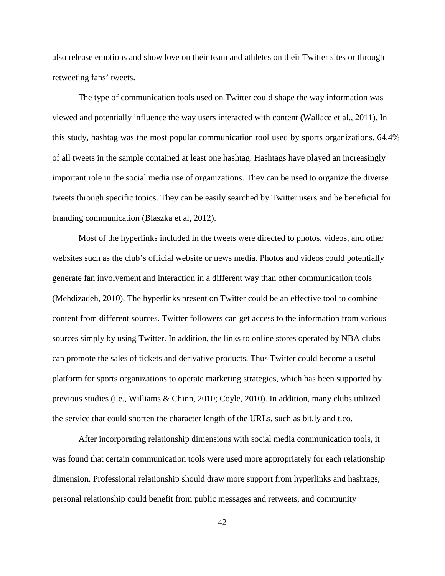also release emotions and show love on their team and athletes on their Twitter sites or through retweeting fans' tweets.

The type of communication tools used on Twitter could shape the way information was viewed and potentially influence the way users interacted with content (Wallace et al., 2011). In this study, hashtag was the most popular communication tool used by sports organizations. 64.4% of all tweets in the sample contained at least one hashtag. Hashtags have played an increasingly important role in the social media use of organizations. They can be used to organize the diverse tweets through specific topics. They can be easily searched by Twitter users and be beneficial for branding communication (Blaszka et al, 2012).

Most of the hyperlinks included in the tweets were directed to photos, videos, and other websites such as the club's official website or news media. Photos and videos could potentially generate fan involvement and interaction in a different way than other communication tools (Mehdizadeh, 2010). The hyperlinks present on Twitter could be an effective tool to combine content from different sources. Twitter followers can get access to the information from various sources simply by using Twitter. In addition, the links to online stores operated by NBA clubs can promote the sales of tickets and derivative products. Thus Twitter could become a useful platform for sports organizations to operate marketing strategies, which has been supported by previous studies (i.e., Williams & Chinn, 2010; Coyle, 2010). In addition, many clubs utilized the service that could shorten the character length of the URLs, such as bit.ly and t.co.

After incorporating relationship dimensions with social media communication tools, it was found that certain communication tools were used more appropriately for each relationship dimension. Professional relationship should draw more support from hyperlinks and hashtags, personal relationship could benefit from public messages and retweets, and community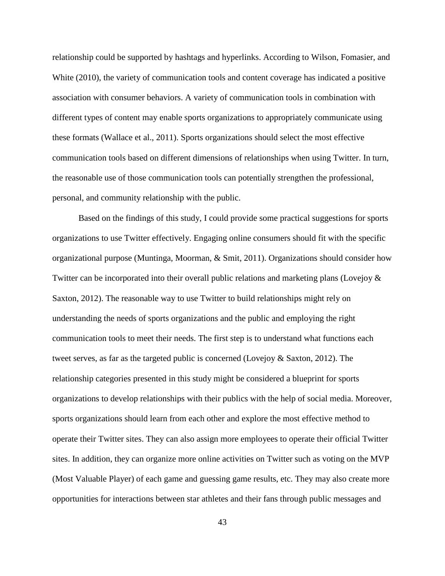relationship could be supported by hashtags and hyperlinks. According to Wilson, Fomasier, and White (2010), the variety of communication tools and content coverage has indicated a positive association with consumer behaviors. A variety of communication tools in combination with different types of content may enable sports organizations to appropriately communicate using these formats (Wallace et al., 2011). Sports organizations should select the most effective communication tools based on different dimensions of relationships when using Twitter. In turn, the reasonable use of those communication tools can potentially strengthen the professional, personal, and community relationship with the public.

Based on the findings of this study, I could provide some practical suggestions for sports organizations to use Twitter effectively. Engaging online consumers should fit with the specific organizational purpose (Muntinga, Moorman, & Smit, 2011). Organizations should consider how Twitter can be incorporated into their overall public relations and marketing plans (Lovejoy & Saxton, 2012). The reasonable way to use Twitter to build relationships might rely on understanding the needs of sports organizations and the public and employing the right communication tools to meet their needs. The first step is to understand what functions each tweet serves, as far as the targeted public is concerned (Lovejoy & Saxton, 2012). The relationship categories presented in this study might be considered a blueprint for sports organizations to develop relationships with their publics with the help of social media. Moreover, sports organizations should learn from each other and explore the most effective method to operate their Twitter sites. They can also assign more employees to operate their official Twitter sites. In addition, they can organize more online activities on Twitter such as voting on the MVP (Most Valuable Player) of each game and guessing game results, etc. They may also create more opportunities for interactions between star athletes and their fans through public messages and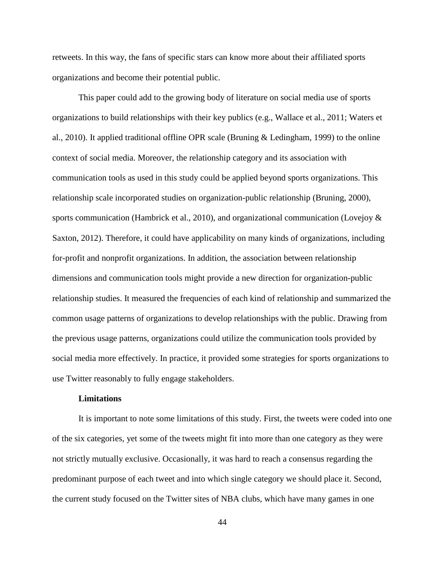retweets. In this way, the fans of specific stars can know more about their affiliated sports organizations and become their potential public.

This paper could add to the growing body of literature on social media use of sports organizations to build relationships with their key publics (e.g., Wallace et al., 2011; Waters et al., 2010). It applied traditional offline OPR scale (Bruning  $\&$  Ledingham, 1999) to the online context of social media. Moreover, the relationship category and its association with communication tools as used in this study could be applied beyond sports organizations. This relationship scale incorporated studies on organization-public relationship (Bruning, 2000), sports communication (Hambrick et al., 2010), and organizational communication (Lovejoy & Saxton, 2012). Therefore, it could have applicability on many kinds of organizations, including for-profit and nonprofit organizations. In addition, the association between relationship dimensions and communication tools might provide a new direction for organization-public relationship studies. It measured the frequencies of each kind of relationship and summarized the common usage patterns of organizations to develop relationships with the public. Drawing from the previous usage patterns, organizations could utilize the communication tools provided by social media more effectively. In practice, it provided some strategies for sports organizations to use Twitter reasonably to fully engage stakeholders.

#### **Limitations**

It is important to note some limitations of this study. First, the tweets were coded into one of the six categories, yet some of the tweets might fit into more than one category as they were not strictly mutually exclusive. Occasionally, it was hard to reach a consensus regarding the predominant purpose of each tweet and into which single category we should place it. Second, the current study focused on the Twitter sites of NBA clubs, which have many games in one

44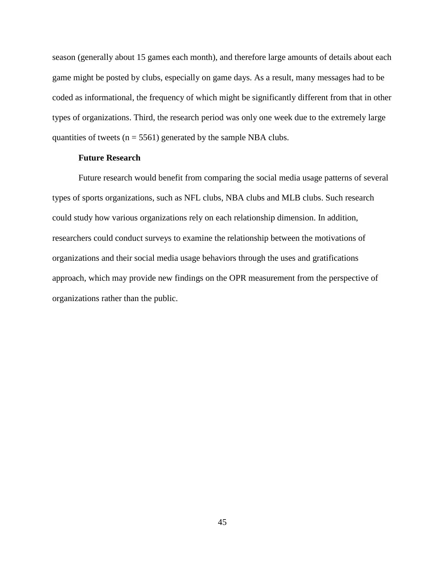season (generally about 15 games each month), and therefore large amounts of details about each game might be posted by clubs, especially on game days. As a result, many messages had to be coded as informational, the frequency of which might be significantly different from that in other types of organizations. Third, the research period was only one week due to the extremely large quantities of tweets ( $n = 5561$ ) generated by the sample NBA clubs.

## **Future Research**

Future research would benefit from comparing the social media usage patterns of several types of sports organizations, such as NFL clubs, NBA clubs and MLB clubs. Such research could study how various organizations rely on each relationship dimension. In addition, researchers could conduct surveys to examine the relationship between the motivations of organizations and their social media usage behaviors through the uses and gratifications approach, which may provide new findings on the OPR measurement from the perspective of organizations rather than the public.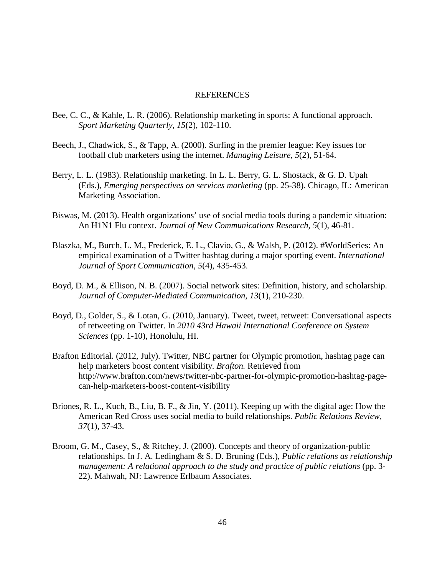#### REFERENCES

- Bee, C. C., & Kahle, L. R. (2006). Relationship marketing in sports: A functional approach. *Sport Marketing Quarterly, 15*(2), 102-110.
- Beech, J., Chadwick, S., & Tapp, A. (2000). Surfing in the premier league: Key issues for football club marketers using the internet. *Managing Leisure, 5*(2), 51-64.
- Berry, L. L. (1983). Relationship marketing. In L. L. Berry, G. L. Shostack, & G. D. Upah (Eds.), *Emerging perspectives on services marketing* (pp. 25-38). Chicago, IL: American Marketing Association.
- Biswas, M. (2013). Health organizations' use of social media tools during a pandemic situation: An H1N1 Flu context. *Journal of New Communications Research, 5*(1), 46-81.
- Blaszka, M., Burch, L. M., Frederick, E. L., Clavio, G., & Walsh, P. (2012). #WorldSeries: An empirical examination of a Twitter hashtag during a major sporting event. *International Journal of Sport Communication, 5*(4), 435-453.
- Boyd, D. M., & Ellison, N. B. (2007). Social network sites: Definition, history, and scholarship. *Journal of Computer-Mediated Communication, 13*(1), 210-230.
- Boyd, D., Golder, S., & Lotan, G. (2010, January). Tweet, tweet, retweet: Conversational aspects of retweeting on Twitter. In *2010 43rd Hawaii International Conference on System Sciences* (pp. 1-10), Honolulu, HI.
- Brafton Editorial. (2012, July). Twitter, NBC partner for Olympic promotion, hashtag page can help marketers boost content visibility. *Brafton.* Retrieved from http://www.brafton.com/news/twitter-nbc-partner-for-olympic-promotion-hashtag-pagecan-help-marketers-boost-content-visibility
- Briones, R. L., Kuch, B., Liu, B. F., & Jin, Y. (2011). Keeping up with the digital age: How the American Red Cross uses social media to build relationships. *Public Relations Review, 37*(1), 37-43.
- Broom, G. M., Casey, S., & Ritchey, J. (2000). Concepts and theory of organization-public relationships. In J. A. Ledingham & S. D. Bruning (Eds.), *Public relations as relationship management: A relational approach to the study and practice of public relations* (pp. 3- 22). Mahwah, NJ: Lawrence Erlbaum Associates.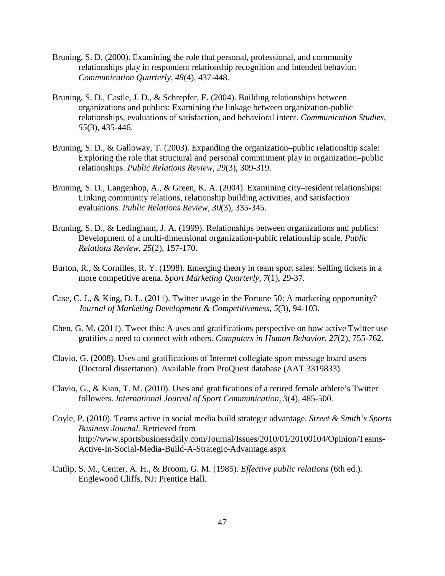- Bruning, S. D. (2000). Examining the role that personal, professional, and community relationships play in respondent relationship recognition and intended behavior. *Communication Quarterly, 48*(4), 437-448.
- Bruning, S. D., Castle, J. D., & Schrepfer, E. (2004). Building relationships between organizations and publics: Examining the linkage between organization-public relationships, evaluations of satisfaction, and behavioral intent. *Communication Studies, 55*(3), 435-446.
- Bruning, S. D., & Galloway, T. (2003). Expanding the organization–public relationship scale: Exploring the role that structural and personal commitment play in organization–public relationships. *Public Relations Review, 29*(3), 309-319.
- Bruning, S. D., Langenhop, A., & Green, K. A. (2004). Examining city–resident relationships: Linking community relations, relationship building activities, and satisfaction evaluations. *Public Relations Review, 30*(3), 335-345.
- Bruning, S. D., & Ledingham, J. A. (1999). Relationships between organizations and publics: Development of a multi-dimensional organization-public relationship scale. *Public Relations Review, 25*(2), 157-170.
- Burton, R., & Cornilles, R. Y. (1998). Emerging theory in team sport sales: Selling tickets in a more competitive arena. *Sport Marketing Quarterly, 7*(1), 29-37.
- Case, C. J., & King, D. L. (2011). Twitter usage in the Fortune 50: A marketing opportunity? *Journal of Marketing Development & Competitiveness, 5*(3), 94-103.
- Chen, G. M. (2011). Tweet this: A uses and gratifications perspective on how active Twitter use gratifies a need to connect with others. *Computers in Human Behavior, 27*(2), 755-762.
- Clavio, G. (2008). Uses and gratifications of Internet collegiate sport message board users (Doctoral dissertation). Available from ProQuest database (AAT 3319833).
- Clavio, G., & Kian, T. M. (2010). Uses and gratifications of a retired female athlete's Twitter followers. *International Journal of Sport Communication, 3*(4), 485-500.
- Coyle, P. (2010). Teams active in social media build strategic advantage. *Street & Smith's Sports Business Journal.* Retrieved from http://www.sportsbusinessdaily.com/Journal/Issues/2010/01/20100104/Opinion/Teams-Active-In-Social-Media-Build-A-Strategic-Advantage.aspx
- Cutlip, S. M., Center, A. H., & Broom, G. M. (1985). *Effective public relations* (6th ed.). Englewood Cliffs, NJ: Prentice Hall.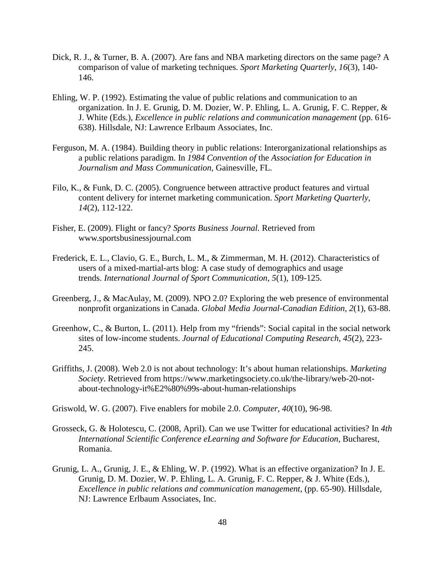- Dick, R. J., & Turner, B. A. (2007). Are fans and NBA marketing directors on the same page? A comparison of value of marketing techniques. *Sport Marketing Quarterly, 16*(3), 140- 146.
- Ehling, W. P. (1992). Estimating the value of public relations and communication to an organization. In J. E. Grunig, D. M. Dozier, W. P. Ehling, L. A. Grunig, F. C. Repper, & J. White (Eds.), *Excellence in public relations and communication management* (pp. 616- 638). Hillsdale, NJ: Lawrence Erlbaum Associates, Inc.
- Ferguson, M. A. (1984). Building theory in public relations: Interorganizational relationships as a public relations paradigm. In *1984 Convention of* the *Association for Education in Journalism and Mass Communication,* Gainesville, FL.
- Filo, K., & Funk, D. C. (2005). Congruence between attractive product features and virtual content delivery for internet marketing communication. *Sport Marketing Quarterly, 14*(2), 112-122.
- Fisher, E. (2009). Flight or fancy? *Sports Business Journal.* Retrieved from www.sportsbusinessjournal.com
- Frederick, E. L., Clavio, G. E., Burch, L. M., & Zimmerman, M. H. (2012). Characteristics of users of a mixed-martial-arts blog: A case study of demographics and usage trends. *International Journal of Sport Communication, 5*(1), 109-125.
- Greenberg, J., & MacAulay, M. (2009). NPO 2.0? Exploring the web presence of environmental nonprofit organizations in Canada. *Global Media Journal-Canadian Edition, 2*(1), 63-88.
- Greenhow, C., & Burton, L. (2011). Help from my "friends": Social capital in the social network sites of low-income students. *Journal of Educational Computing Research, 45*(2), 223- 245.
- Griffiths, J. (2008). Web 2.0 is not about technology: It's about human relationships. *Marketing Society*. Retrieved from https://www.marketingsociety.co.uk/the-library/web-20-notabout-technology-it%E2%80%99s-about-human-relationships

Griswold, W. G. (2007). Five enablers for mobile 2.0. *Computer, 40*(10), 96-98.

- Grosseck, G. & Holotescu, C. (2008, April). Can we use Twitter for educational activities? In *4th International Scientific Conference eLearning and Software for Education,* Bucharest, Romania.
- Grunig, L. A., Grunig, J. E., & Ehling, W. P. (1992). What is an effective organization? In J. E. Grunig, D. M. Dozier, W. P. Ehling, L. A. Grunig, F. C. Repper, & J. White (Eds.), *Excellence in public relations and communication management*, (pp. 65-90). Hillsdale, NJ: Lawrence Erlbaum Associates, Inc.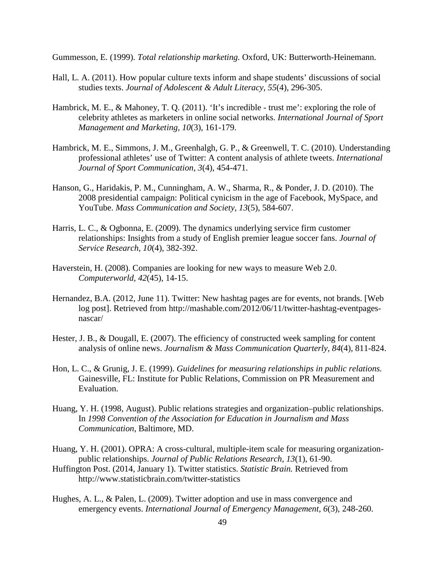Gummesson, E. (1999). *Total relationship marketing.* Oxford, UK: Butterworth-Heinemann.

- Hall, L. A. (2011). How popular culture texts inform and shape students' discussions of social studies texts. *Journal of Adolescent & Adult Literacy*, *55*(4), 296-305.
- Hambrick, M. E., & Mahoney, T. Q. (2011). 'It's incredible trust me': exploring the role of celebrity athletes as marketers in online social networks. *International Journal of Sport Management and Marketing, 10*(3), 161-179.
- Hambrick, M. E., Simmons, J. M., Greenhalgh, G. P., & Greenwell, T. C. (2010). Understanding professional athletes' use of Twitter: A content analysis of athlete tweets. *International Journal of Sport Communication, 3*(4), 454-471.
- Hanson, G., Haridakis, P. M., Cunningham, A. W., Sharma, R., & Ponder, J. D. (2010). The 2008 presidential campaign: Political cynicism in the age of Facebook, MySpace, and YouTube. *Mass Communication and Society, 13*(5), 584-607.
- Harris, L. C., & Ogbonna, E. (2009). The dynamics underlying service firm customer relationships: Insights from a study of English premier league soccer fans. *Journal of Service Research, 10*(4), 382-392.
- Haverstein, H. (2008). Companies are looking for new ways to measure Web 2.0. *Computerworld, 42*(45), 14-15.
- Hernandez, B.A. (2012, June 11). Twitter: New hashtag pages are for events, not brands. [Web log post]. Retrieved from http://mashable.com/2012/06/11/twitter-hashtag-eventpagesnascar/
- Hester, J. B., & Dougall, E. (2007). The efficiency of constructed week sampling for content analysis of online news. *Journalism & Mass Communication Quarterly, 84*(4), 811-824.
- Hon, L. C., & Grunig, J. E. (1999). *Guidelines for measuring relationships in public relations.* Gainesville, FL: Institute for Public Relations, Commission on PR Measurement and Evaluation.
- Huang, Y. H. (1998, August). Public relations strategies and organization–public relationships. In *1998 Convention of the Association for Education in Journalism and Mass Communication,* Baltimore, MD.
- Huang, Y. H. (2001). OPRA: A cross-cultural, multiple-item scale for measuring organizationpublic relationships. *Journal of Public Relations Research, 13*(1), 61-90.
- Huffington Post. (2014, January 1). Twitter statistics. *Statistic Brain.* Retrieved from http://www.statisticbrain.com/twitter-statistics
- Hughes, A. L., & Palen, L. (2009). Twitter adoption and use in mass convergence and emergency events. *International Journal of Emergency Management, 6*(3), 248-260.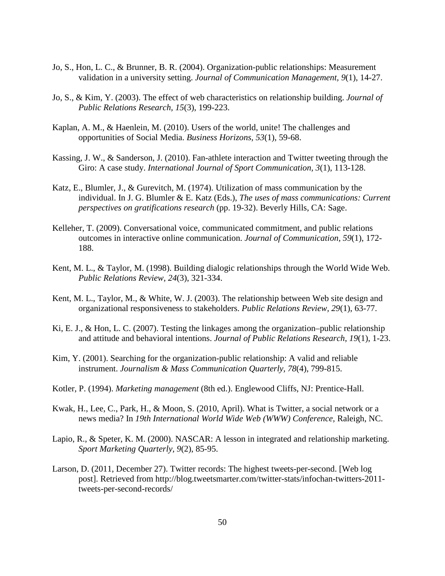- Jo, S., Hon, L. C., & Brunner, B. R. (2004). Organization-public relationships: Measurement validation in a university setting. *Journal of Communication Management, 9*(1), 14-27.
- Jo, S., & Kim, Y. (2003). The effect of web characteristics on relationship building. *Journal of Public Relations Research, 15*(3), 199-223.
- Kaplan, A. M., & Haenlein, M. (2010). Users of the world, unite! The challenges and opportunities of Social Media. *Business Horizons, 53*(1), 59-68.
- Kassing, J. W., & Sanderson, J. (2010). Fan-athlete interaction and Twitter tweeting through the Giro: A case study. *International Journal of Sport Communication, 3*(1), 113-128.
- Katz, E., Blumler, J., & Gurevitch, M. (1974). Utilization of mass communication by the individual. In J. G. Blumler & E. Katz (Eds.), *The uses of mass communications: Current perspectives on gratifications research* (pp. 19-32). Beverly Hills, CA: Sage.
- Kelleher, T. (2009). Conversational voice, communicated commitment, and public relations outcomes in interactive online communication. *Journal of Communication, 59*(1), 172- 188.
- Kent, M. L., & Taylor, M. (1998). Building dialogic relationships through the World Wide Web. *Public Relations Review, 24*(3), 321-334.
- Kent, M. L., Taylor, M., & White, W. J. (2003). The relationship between Web site design and organizational responsiveness to stakeholders. *Public Relations Review, 29*(1), 63-77.
- Ki, E. J., & Hon, L. C. (2007). Testing the linkages among the organization–public relationship and attitude and behavioral intentions. *Journal of Public Relations Research*, *19*(1), 1-23.
- Kim, Y. (2001). Searching for the organization-public relationship: A valid and reliable instrument. *Journalism & Mass Communication Quarterly, 78*(4), 799-815.
- Kotler, P. (1994). *Marketing management* (8th ed.). Englewood Cliffs, NJ: Prentice-Hall.
- Kwak, H., Lee, C., Park, H., & Moon, S. (2010, April). What is Twitter, a social network or a news media? In *19th International World Wide Web (WWW) Conference,* Raleigh, NC.
- Lapio, R., & Speter, K. M. (2000). NASCAR: A lesson in integrated and relationship marketing. *Sport Marketing Quarterly, 9*(2), 85-95.
- Larson, D. (2011, December 27). Twitter records: The highest tweets-per-second. [Web log post]. Retrieved from http://blog.tweetsmarter.com/twitter-stats/infochan-twitters-2011 tweets-per-second-records/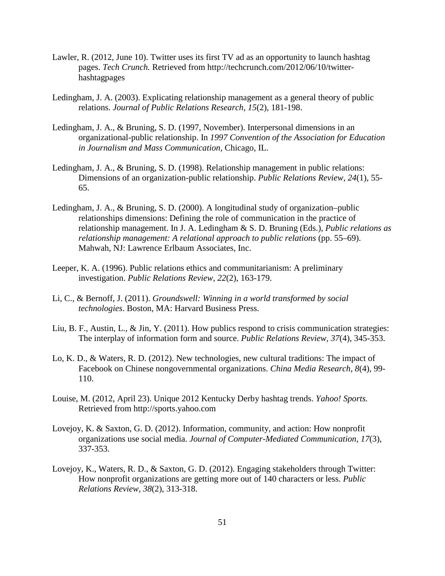- Lawler, R. (2012, June 10). Twitter uses its first TV ad as an opportunity to launch hashtag pages. *Tech Crunch.* Retrieved from http://techcrunch.com/2012/06/10/twitterhashtagpages
- Ledingham, J. A. (2003). Explicating relationship management as a general theory of public relations. *Journal of Public Relations Research, 15*(2), 181-198.
- Ledingham, J. A., & Bruning, S. D. (1997, November). Interpersonal dimensions in an organizational-public relationship. In *1997 Convention of the Association for Education in Journalism and Mass Communication,* Chicago, IL.
- Ledingham, J. A., & Bruning, S. D. (1998). Relationship management in public relations: Dimensions of an organization-public relationship. *Public Relations Review, 24*(1), 55- 65.
- Ledingham, J. A., & Bruning, S. D. (2000). A longitudinal study of organization–public relationships dimensions: Defining the role of communication in the practice of relationship management. In J. A. Ledingham & S. D. Bruning (Eds.), *Public relations as relationship management: A relational approach to public relations* (pp. 55–69). Mahwah, NJ: Lawrence Erlbaum Associates, Inc.
- Leeper, K. A. (1996). Public relations ethics and communitarianism: A preliminary investigation. *Public Relations Review, 22*(2), 163-179.
- Li, C., & Bernoff, J. (2011). *Groundswell: Winning in a world transformed by social technologies*. Boston, MA: Harvard Business Press.
- Liu, B. F., Austin, L., & Jin, Y. (2011). How publics respond to crisis communication strategies: The interplay of information form and source. *Public Relations Review, 37*(4), 345-353.
- Lo, K. D., & Waters, R. D. (2012). New technologies, new cultural traditions: The impact of Facebook on Chinese nongovernmental organizations. *China Media Research, 8*(4), 99- 110.
- Louise, M. (2012, April 23). Unique 2012 Kentucky Derby hashtag trends. *Yahoo! Sports.* Retrieved from http://sports.yahoo.com
- Lovejoy, K. & Saxton, G. D. (2012). Information, community, and action: How nonprofit organizations use social media. *Journal of Computer-Mediated Communication, 17*(3), 337-353.
- Lovejoy, K., Waters, R. D., & Saxton, G. D. (2012). Engaging stakeholders through Twitter: How nonprofit organizations are getting more out of 140 characters or less. *Public Relations Review, 38*(2), 313-318.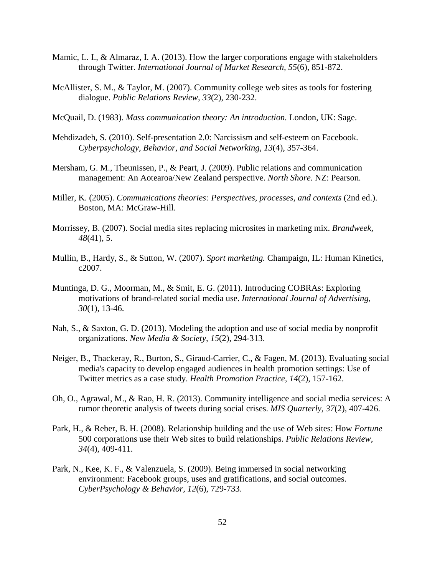- Mamic, L. I., & Almaraz, I. A. (2013). How the larger corporations engage with stakeholders through Twitter. *International Journal of Market Research, 55*(6), 851-872.
- McAllister, S. M., & Taylor, M. (2007). Community college web sites as tools for fostering dialogue. *Public Relations Review, 33*(2), 230-232.
- McQuail, D. (1983). *Mass communication theory: An introduction.* London, UK: Sage.
- Mehdizadeh, S. (2010). Self-presentation 2.0: Narcissism and self-esteem on Facebook. *Cyberpsychology, Behavior, and Social Networking, 13*(4), 357-364.
- Mersham, G. M., Theunissen, P., & Peart, J. (2009). Public relations and communication management: An Aotearoa/New Zealand perspective. *North Shore.* NZ: Pearson.
- Miller, K. (2005). *Communications theories: Perspectives, processes, and contexts* (2nd ed.). Boston, MA: McGraw-Hill.
- Morrissey, B. (2007). Social media sites replacing microsites in marketing mix. *Brandweek, 48*(41), 5.
- Mullin, B., Hardy, S., & Sutton, W. (2007). *Sport marketing.* Champaign, IL: Human Kinetics, c2007.
- Muntinga, D. G., Moorman, M., & Smit, E. G. (2011). Introducing COBRAs: Exploring motivations of brand-related social media use. *International Journal of Advertising, 30*(1), 13-46.
- Nah, S., & Saxton, G. D. (2013). Modeling the adoption and use of social media by nonprofit organizations. *New Media & Society, 15*(2), 294-313.
- Neiger, B., Thackeray, R., Burton, S., Giraud-Carrier, C., & Fagen, M. (2013). Evaluating social media's capacity to develop engaged audiences in health promotion settings: Use of Twitter metrics as a case study. *Health Promotion Practice, 14*(2), 157-162.
- Oh, O., Agrawal, M., & Rao, H. R. (2013). Community intelligence and social media services: A rumor theoretic analysis of tweets during social crises. *MIS Quarterly, 37*(2), 407-426.
- Park, H., & Reber, B. H. (2008). Relationship building and the use of Web sites: How *Fortune* 500 corporations use their Web sites to build relationships. *Public Relations Review, 34*(4), 409-411.
- Park, N., Kee, K. F., & Valenzuela, S. (2009). Being immersed in social networking environment: Facebook groups, uses and gratifications, and social outcomes. *CyberPsychology & Behavior, 12*(6), 729-733.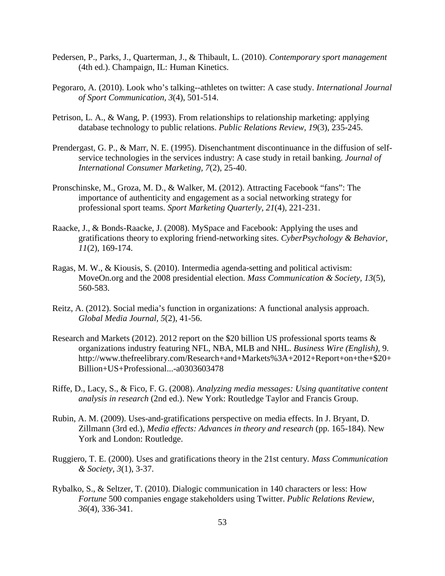- Pedersen, P., Parks, J., Quarterman, J., & Thibault, L. (2010). *Contemporary sport management*  (4th ed.). Champaign, IL: Human Kinetics.
- Pegoraro, A. (2010). Look who's talking--athletes on twitter: A case study. *International Journal of Sport Communication, 3*(4), 501-514.
- Petrison, L. A., & Wang, P. (1993). From relationships to relationship marketing: applying database technology to public relations. *Public Relations Review, 19*(3), 235-245.
- Prendergast, G. P., & Marr, N. E. (1995). Disenchantment discontinuance in the diffusion of selfservice technologies in the services industry: A case study in retail banking. *Journal of International Consumer Marketing, 7*(2), 25-40.
- Pronschinske, M., Groza, M. D., & Walker, M. (2012). Attracting Facebook "fans": The importance of authenticity and engagement as a social networking strategy for professional sport teams. *Sport Marketing Quarterly, 21*(4), 221-231.
- Raacke, J., & Bonds-Raacke, J. (2008). MySpace and Facebook: Applying the uses and gratifications theory to exploring friend-networking sites. *CyberPsychology & Behavior, 11*(2), 169-174.
- Ragas, M. W., & Kiousis, S. (2010). Intermedia agenda-setting and political activism: MoveOn.org and the 2008 presidential election. *Mass Communication & Society, 13*(5), 560-583.
- Reitz, A. (2012). Social media's function in organizations: A functional analysis approach. *Global Media Journal, 5*(2), 41-56.
- Research and Markets (2012). 2012 report on the \$20 billion US professional sports teams & organizations industry featuring NFL, NBA, MLB and NHL. *Business Wire (English),* 9. http://www.thefreelibrary.com/Research+and+Markets%3A+2012+Report+on+the+\$20+ Billion+US+Professional...-a0303603478
- Riffe, D., Lacy, S., & Fico, F. G. (2008). *Analyzing media messages: Using quantitative content analysis in research* (2nd ed.). New York: Routledge Taylor and Francis Group.
- Rubin, A. M. (2009). Uses-and-gratifications perspective on media effects. In J. Bryant, D. Zillmann (3rd ed.), *Media effects: Advances in theory and research* (pp. 165-184). New York and London: Routledge.
- Ruggiero, T. E. (2000). Uses and gratifications theory in the 21st century. *Mass Communication & Society, 3*(1), 3-37.
- Rybalko, S., & Seltzer, T. (2010). Dialogic communication in 140 characters or less: How *Fortune* 500 companies engage stakeholders using Twitter. *Public Relations Review, 36*(4), 336-341.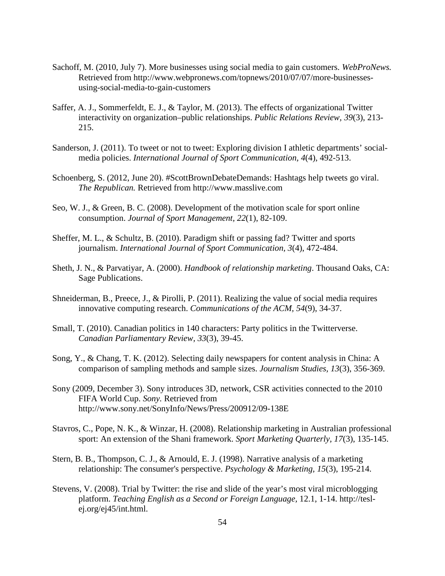- Sachoff, M. (2010, July 7). More businesses using social media to gain customers. *WebProNews.* Retrieved from http://www.webpronews.com/topnews/2010/07/07/more-businessesusing-social-media-to-gain-customers
- Saffer, A. J., Sommerfeldt, E. J., & Taylor, M. (2013). The effects of organizational Twitter interactivity on organization–public relationships. *Public Relations Review, 39*(3), 213- 215.
- Sanderson, J. (2011). To tweet or not to tweet: Exploring division I athletic departments' socialmedia policies. *International Journal of Sport Communication, 4*(4), 492-513.
- Schoenberg, S. (2012, June 20). #ScottBrownDebateDemands: Hashtags help tweets go viral. *The Republican.* Retrieved from http://www.masslive.com
- Seo, W. J., & Green, B. C. (2008). Development of the motivation scale for sport online consumption. *Journal of Sport Management, 22*(1), 82-109.
- Sheffer, M. L., & Schultz, B. (2010). Paradigm shift or passing fad? Twitter and sports journalism. *International Journal of Sport Communication, 3*(4), 472-484.
- Sheth, J. N., & Parvatiyar, A. (2000). *Handbook of relationship marketing*. Thousand Oaks, CA: Sage Publications.
- Shneiderman, B., Preece, J., & Pirolli, P. (2011). Realizing the value of social media requires innovative computing research. *Communications of the ACM, 54*(9), 34-37.
- Small, T. (2010). Canadian politics in 140 characters: Party politics in the Twitterverse. *Canadian Parliamentary Review, 33*(3), 39-45.
- Song, Y., & Chang, T. K. (2012). Selecting daily newspapers for content analysis in China: A comparison of sampling methods and sample sizes. *Journalism Studies, 13*(3), 356-369.
- Sony (2009, December 3). Sony introduces 3D, network, CSR activities connected to the 2010 FIFA World Cup. *Sony.* Retrieved from http://www.sony.net/SonyInfo/News/Press/200912/09-138E
- Stavros, C., Pope, N. K., & Winzar, H. (2008). Relationship marketing in Australian professional sport: An extension of the Shani framework. *Sport Marketing Quarterly, 17*(3), 135-145.
- Stern, B. B., Thompson, C. J., & Arnould, E. J. (1998). Narrative analysis of a marketing relationship: The consumer's perspective. *Psychology & Marketing, 15*(3), 195-214.
- Stevens, V. (2008). Trial by Twitter: the rise and slide of the year's most viral microblogging platform. *Teaching English as a Second or Foreign Language,* 12.1, 1-14. http://teslej.org/ej45/int.html.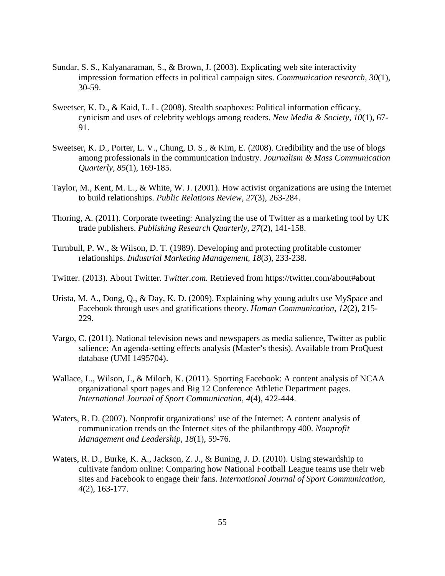- Sundar, S. S., Kalyanaraman, S., & Brown, J. (2003). Explicating web site interactivity impression formation effects in political campaign sites. *Communication research, 30*(1), 30-59.
- Sweetser, K. D., & Kaid, L. L. (2008). Stealth soapboxes: Political information efficacy, cynicism and uses of celebrity weblogs among readers. *New Media & Society, 10*(1), 67- 91.
- Sweetser, K. D., Porter, L. V., Chung, D. S., & Kim, E. (2008). Credibility and the use of blogs among professionals in the communication industry. *Journalism & Mass Communication Quarterly, 85*(1), 169-185.
- Taylor, M., Kent, M. L., & White, W. J. (2001). How activist organizations are using the Internet to build relationships. *Public Relations Review*, *27*(3), 263-284.
- Thoring, A. (2011). Corporate tweeting: Analyzing the use of Twitter as a marketing tool by UK trade publishers. *Publishing Research Quarterly, 27*(2), 141-158.
- Turnbull, P. W., & Wilson, D. T. (1989). Developing and protecting profitable customer relationships. *Industrial Marketing Management, 18*(3), 233-238.
- Twitter. (2013). About Twitter. *Twitter.com.* Retrieved from https://twitter.com/about#about
- Urista, M. A., Dong, Q., & Day, K. D. (2009). Explaining why young adults use MySpace and Facebook through uses and gratifications theory. *Human Communication, 12*(2), 215- 229.
- Vargo, C. (2011). National television news and newspapers as media salience, Twitter as public salience: An agenda-setting effects analysis (Master's thesis). Available from ProQuest database (UMI 1495704).
- Wallace, L., Wilson, J., & Miloch, K. (2011). Sporting Facebook: A content analysis of NCAA organizational sport pages and Big 12 Conference Athletic Department pages. *International Journal of Sport Communication, 4*(4), 422-444.
- Waters, R. D. (2007). Nonprofit organizations' use of the Internet: A content analysis of communication trends on the Internet sites of the philanthropy 400. *Nonprofit Management and Leadership, 18*(1), 59-76.
- Waters, R. D., Burke, K. A., Jackson, Z. J., & Buning, J. D. (2010). Using stewardship to cultivate fandom online: Comparing how National Football League teams use their web sites and Facebook to engage their fans. *International Journal of Sport Communication, 4*(2), 163-177.